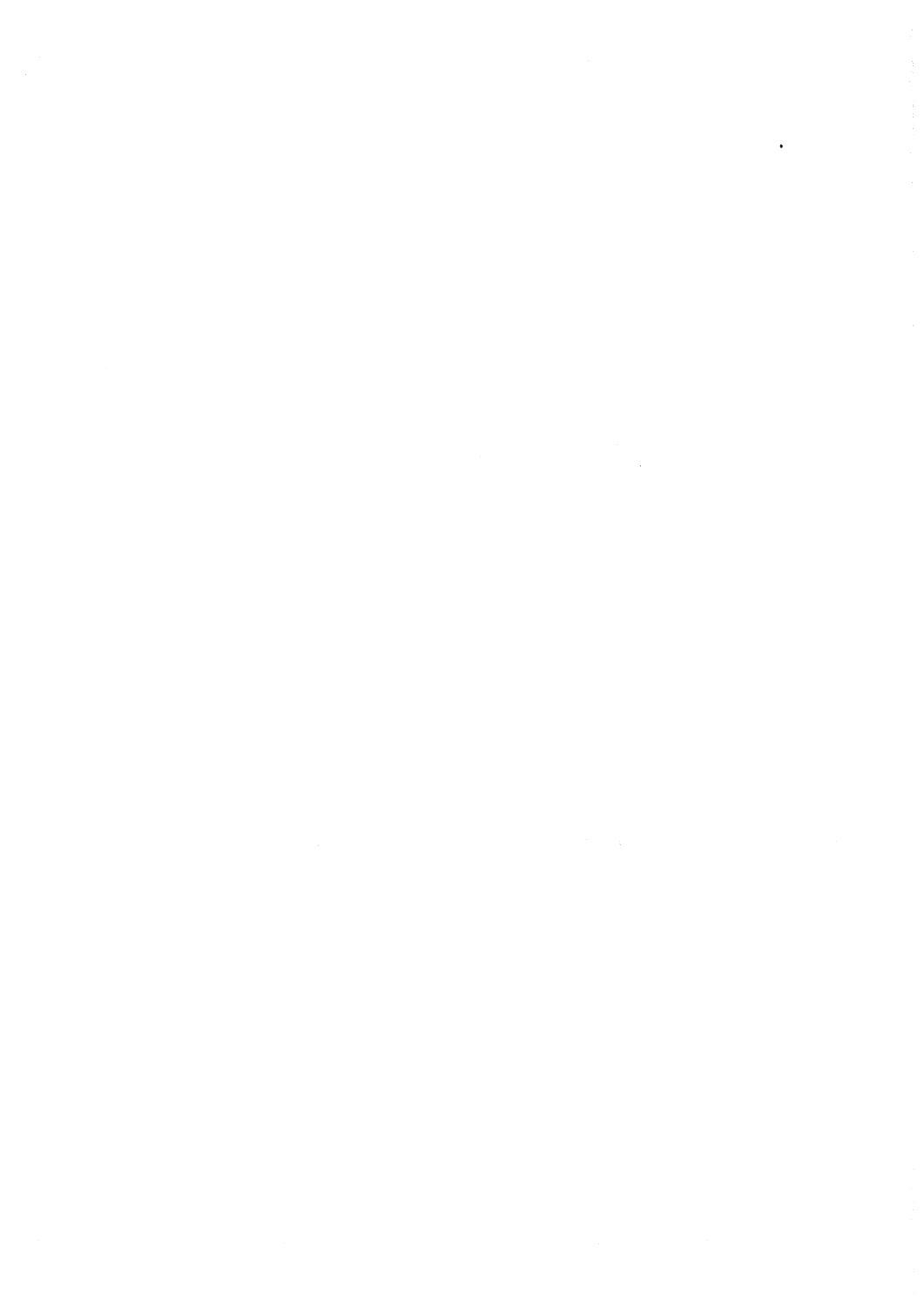$\sim 10^{-11}$ 

 $\label{eq:2.1} \frac{1}{\sqrt{2\pi}}\int_{\mathbb{R}^3}\frac{1}{\sqrt{2\pi}}\int_{\mathbb{R}^3}\frac{1}{\sqrt{2\pi}}\int_{\mathbb{R}^3}\frac{1}{\sqrt{2\pi}}\int_{\mathbb{R}^3}\frac{1}{\sqrt{2\pi}}\int_{\mathbb{R}^3}\frac{1}{\sqrt{2\pi}}\int_{\mathbb{R}^3}\frac{1}{\sqrt{2\pi}}\int_{\mathbb{R}^3}\frac{1}{\sqrt{2\pi}}\int_{\mathbb{R}^3}\frac{1}{\sqrt{2\pi}}\int_{\mathbb{R}^3}\frac{1$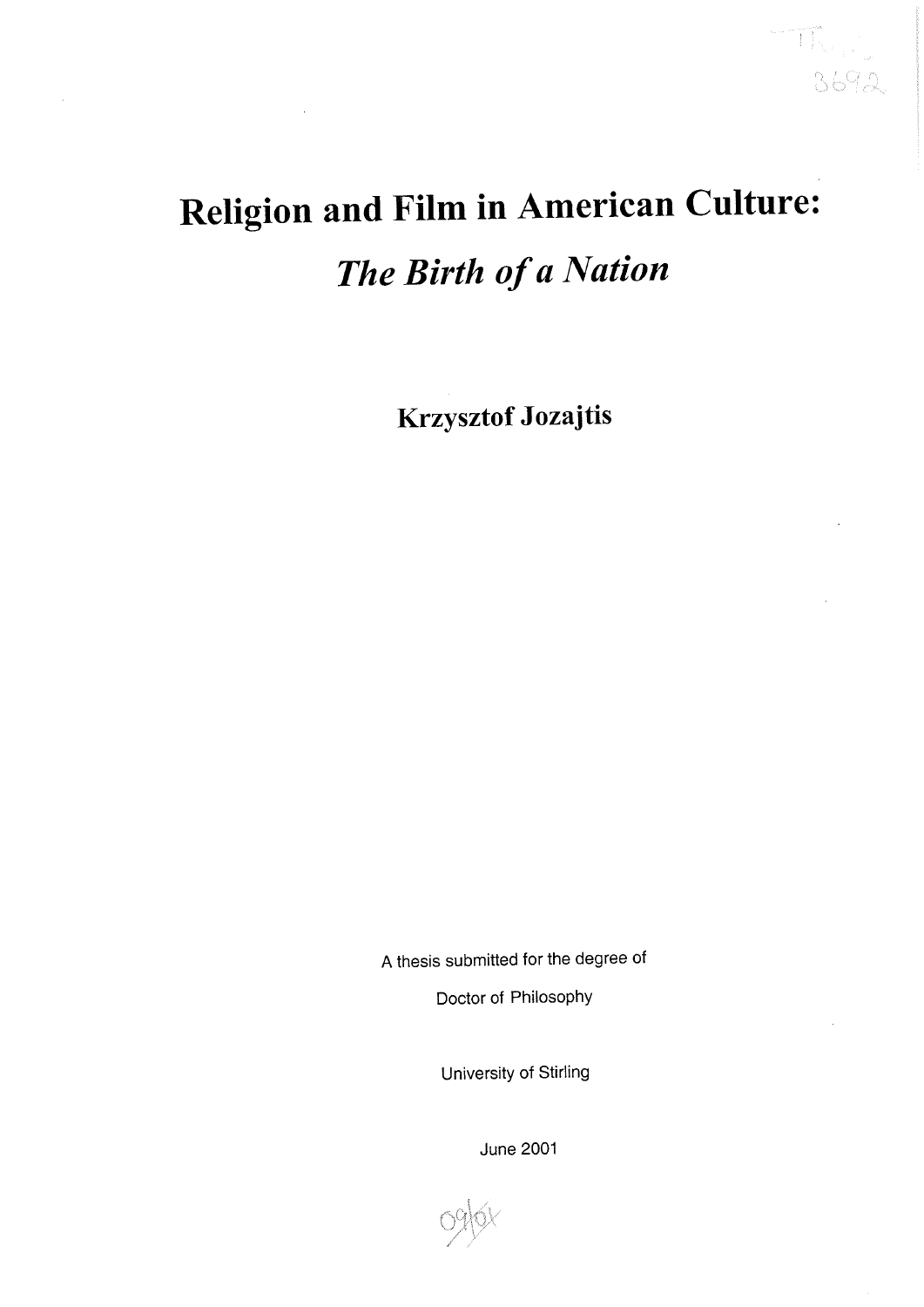# Religion and Film in American Culture: The Birth of a Nation

 $\leftarrow \prod_{i=1}^{n} \sum_{j=1}^{n} \frac{1}{j} \sum_{j=1}^{n} \sum_{j=1}^{n} \frac{1}{j} \sum_{j=1}^{n} \sum_{j=1}^{n} \frac{1}{j} \sum_{j=1}^{n} \sum_{j=1}^{n} \frac{1}{j} \sum_{j=1}^{n} \sum_{j=1}^{n} \frac{1}{j} \sum_{j=1}^{n} \sum_{j=1}^{n} \frac{1}{j} \sum_{j=1}^{n} \sum_{j=1}^{n} \sum_{j=1}^{n} \frac{1}{j} \sum_{j=1}^{n} \sum_{j=1}^{$ 

3692

Krzysztof Jozajtis

A thesis submitted for the degree of

Doctor of Philosophy

University of Stirling

June 2001

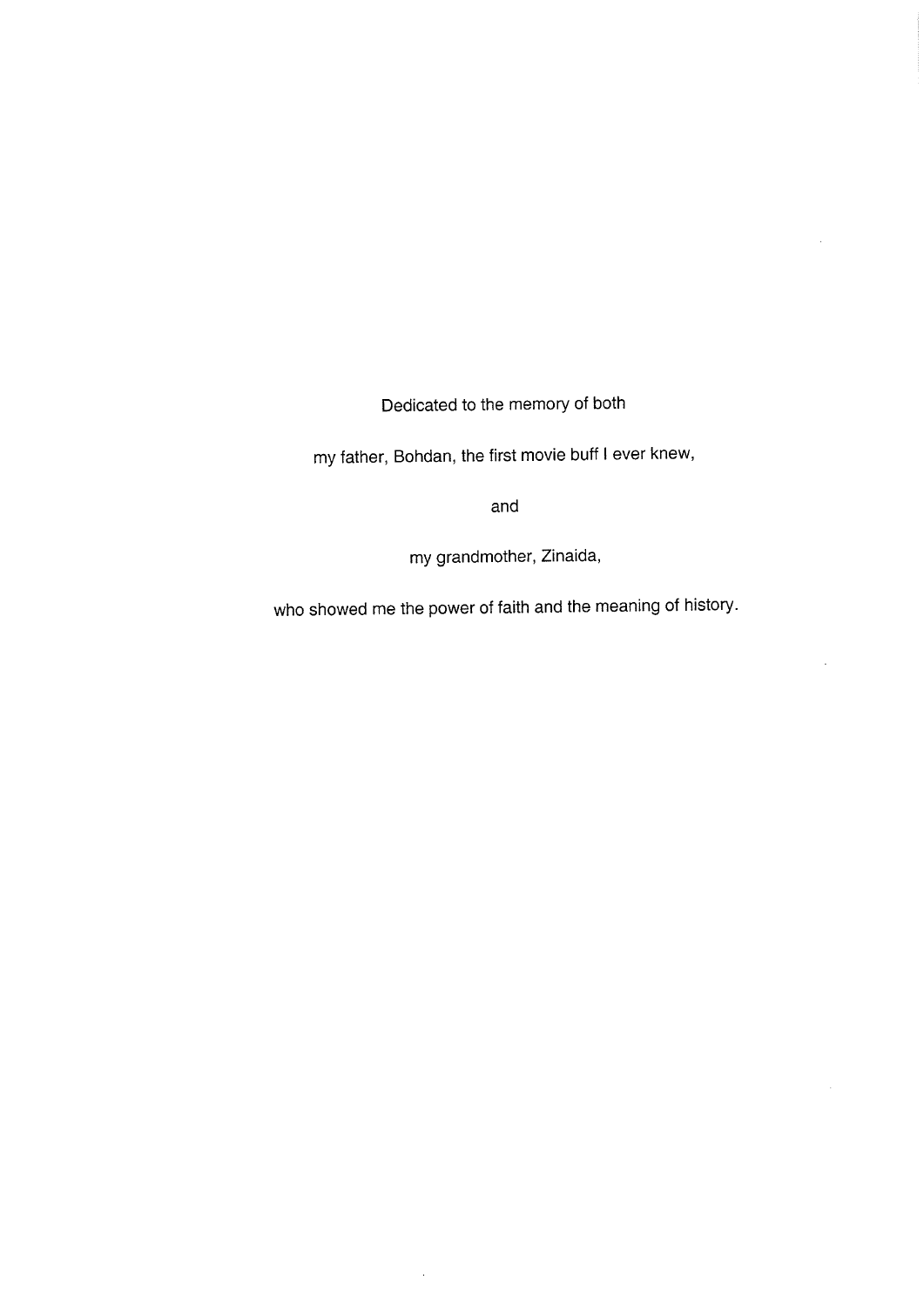Dedicated to the memory of both

my father, Bohdan, the first movie buff I ever knew,

and

my grandmother, Zinaida,

who showed me the power of faith and the meaning of history.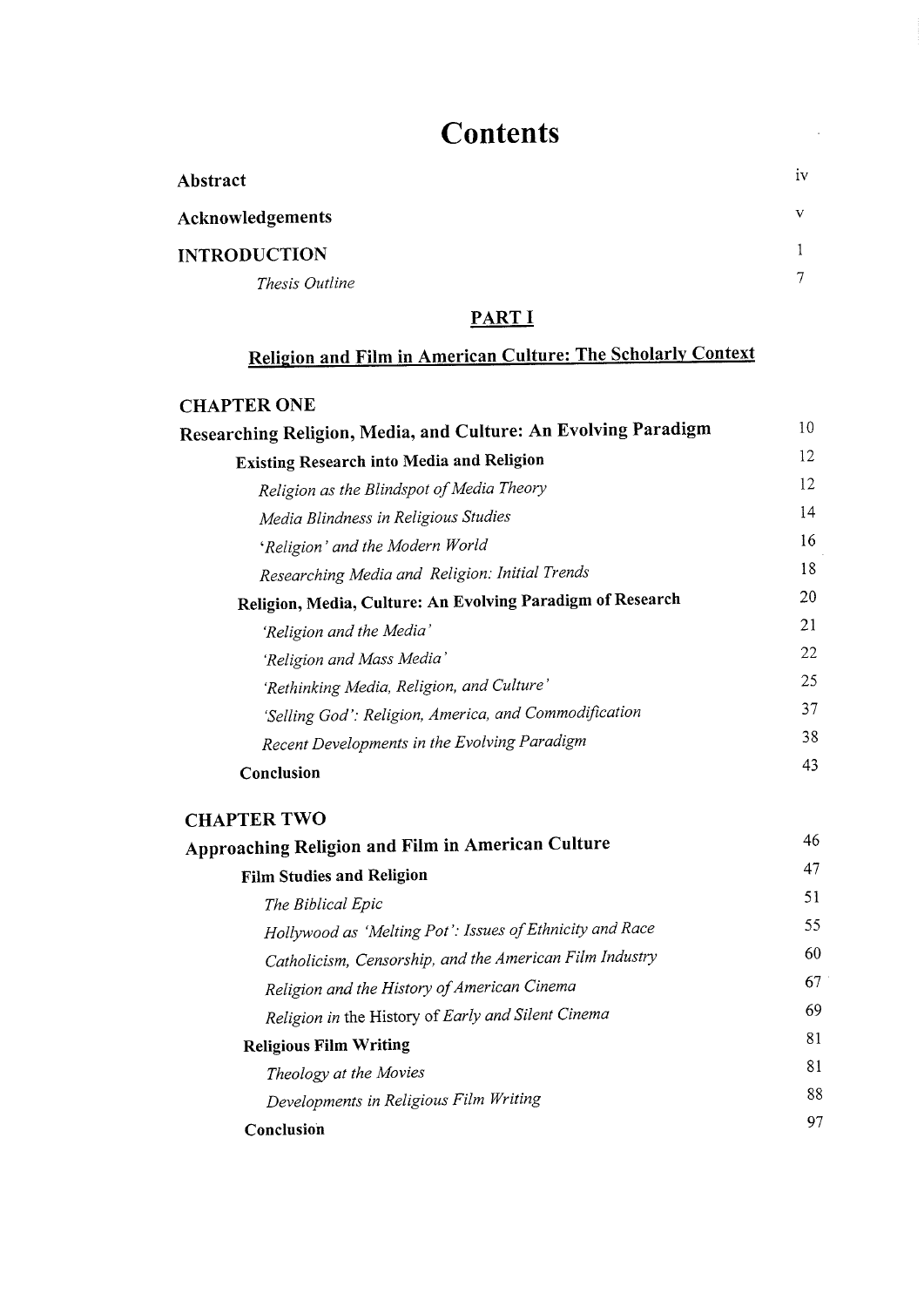# **Contents**

| Abstract                | 1V            |
|-------------------------|---------------|
| <b>Acknowledgements</b> | V             |
| <b>INTRODUCTION</b>     |               |
| Thesis Outline          | $\mathcal{L}$ |

## PART I

# Religion and Film in American Culture: The Scholarly Context

| <b>CHAPTER ONE</b>                                             |    |
|----------------------------------------------------------------|----|
| Researching Religion, Media, and Culture: An Evolving Paradigm | 10 |
| <b>Existing Research into Media and Religion</b>               | 12 |
| Religion as the Blindspot of Media Theory                      | 12 |
| Media Blindness in Religious Studies                           | 14 |
| 'Religion' and the Modern World                                | 16 |
| Researching Media and Religion: Initial Trends                 | 18 |
| Religion, Media, Culture: An Evolving Paradigm of Research     | 20 |
| 'Religion and the Media'                                       | 21 |
| 'Religion and Mass Media'                                      | 22 |
| 'Rethinking Media, Religion, and Culture'                      | 25 |
| 'Selling God': Religion, America, and Commodification          | 37 |
| Recent Developments in the Evolving Paradigm                   | 38 |
| Conclusion                                                     | 43 |

| <b>CHAPTER TWO</b> |
|--------------------|
|--------------------|

| Approaching Religion and Film in American Culture        | 46 |
|----------------------------------------------------------|----|
| <b>Film Studies and Religion</b>                         | 47 |
| The Biblical Epic                                        | 51 |
| Hollywood as 'Melting Pot': Issues of Ethnicity and Race | 55 |
| Catholicism, Censorship, and the American Film Industry  | 60 |
| Religion and the History of American Cinema              | 67 |
| Religion in the History of Early and Silent Cinema       | 69 |
| <b>Religious Film Writing</b>                            | 81 |
| Theology at the Movies                                   | 81 |
| Developments in Religious Film Writing                   | 88 |
| Conclusion                                               | 97 |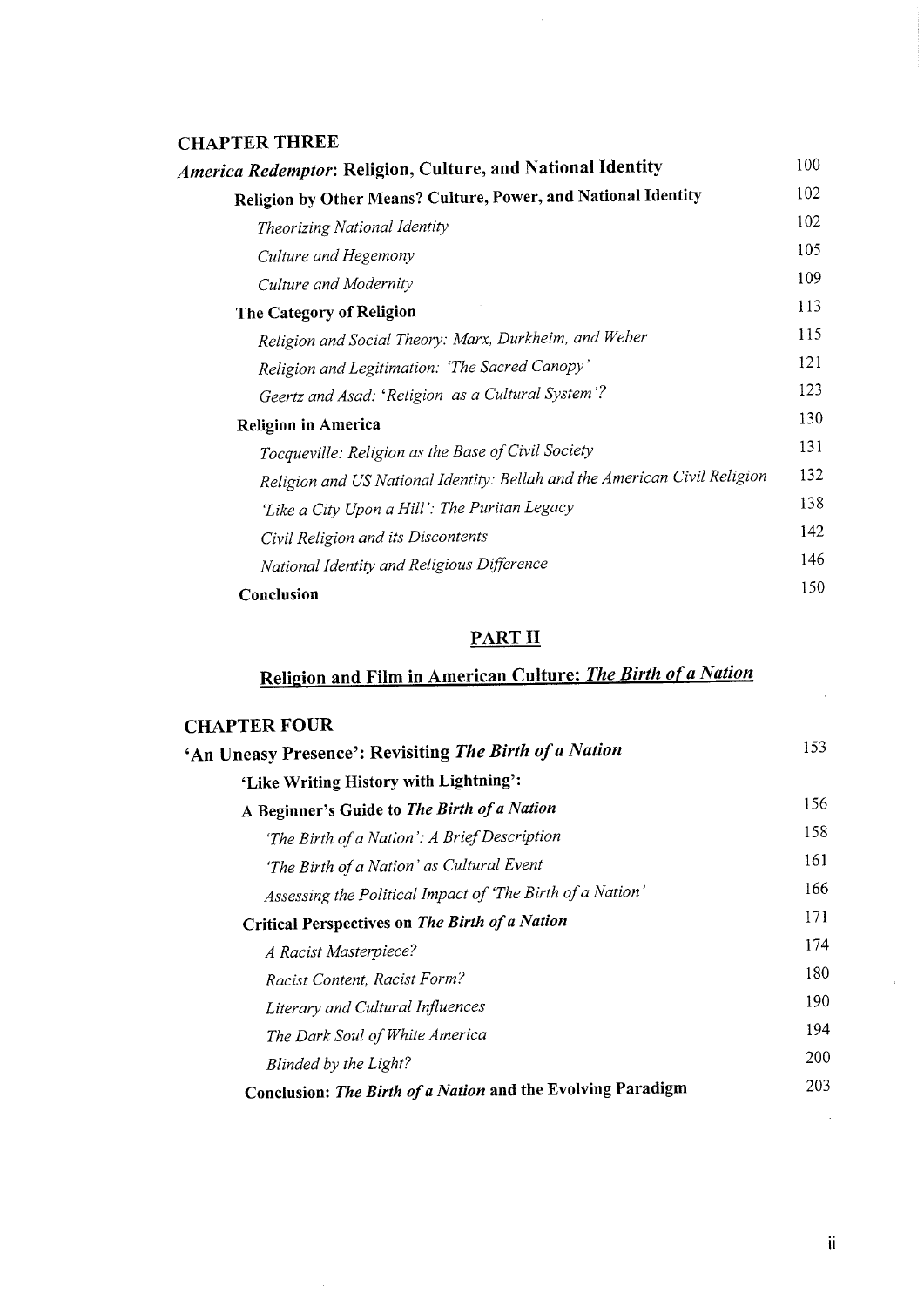### CHAPTER THREE

| America Redemptor: Religion, Culture, and National Identity               | 100 |
|---------------------------------------------------------------------------|-----|
| Religion by Other Means? Culture, Power, and National Identity            | 102 |
| Theorizing National Identity                                              | 102 |
| Culture and Hegemony                                                      | 105 |
| Culture and Modernity                                                     | 109 |
| The Category of Religion                                                  | 113 |
| Religion and Social Theory: Marx, Durkheim, and Weber                     | 115 |
| Religion and Legitimation: 'The Sacred Canopy'                            | 121 |
| Geertz and Asad: 'Religion as a Cultural System'?                         | 123 |
| <b>Religion in America</b>                                                | 130 |
| Tocqueville: Religion as the Base of Civil Society                        | 131 |
| Religion and US National Identity: Bellah and the American Civil Religion | 132 |
| 'Like a City Upon a Hill': The Puritan Legacy                             | 138 |
| Civil Religion and its Discontents                                        | 142 |
| National Identity and Religious Difference                                | 146 |
| Conclusion                                                                | 150 |

 $\bar{\beta}$ 

## PART II

# Religion and Film in American Culture: The Birth of a Nation

| <b>CHAPTER FOUR</b>                                         |     |
|-------------------------------------------------------------|-----|
| 'An Uneasy Presence': Revisiting The Birth of a Nation      | 153 |
| 'Like Writing History with Lightning':                      |     |
| A Beginner's Guide to The Birth of a Nation                 | 156 |
| 'The Birth of a Nation': A Brief Description                | 158 |
| 'The Birth of a Nation' as Cultural Event                   | 161 |
| Assessing the Political Impact of 'The Birth of a Nation'   | 166 |
| Critical Perspectives on The Birth of a Nation              | 171 |
| A Racist Masterpiece?                                       | 174 |
| Racist Content, Racist Form?                                | 180 |
| Literary and Cultural Influences                            | 190 |
| The Dark Soul of White America                              | 194 |
| Blinded by the Light?                                       | 200 |
| Conclusion: The Birth of a Nation and the Evolving Paradigm | 203 |

 $\ddot{\phantom{a}}$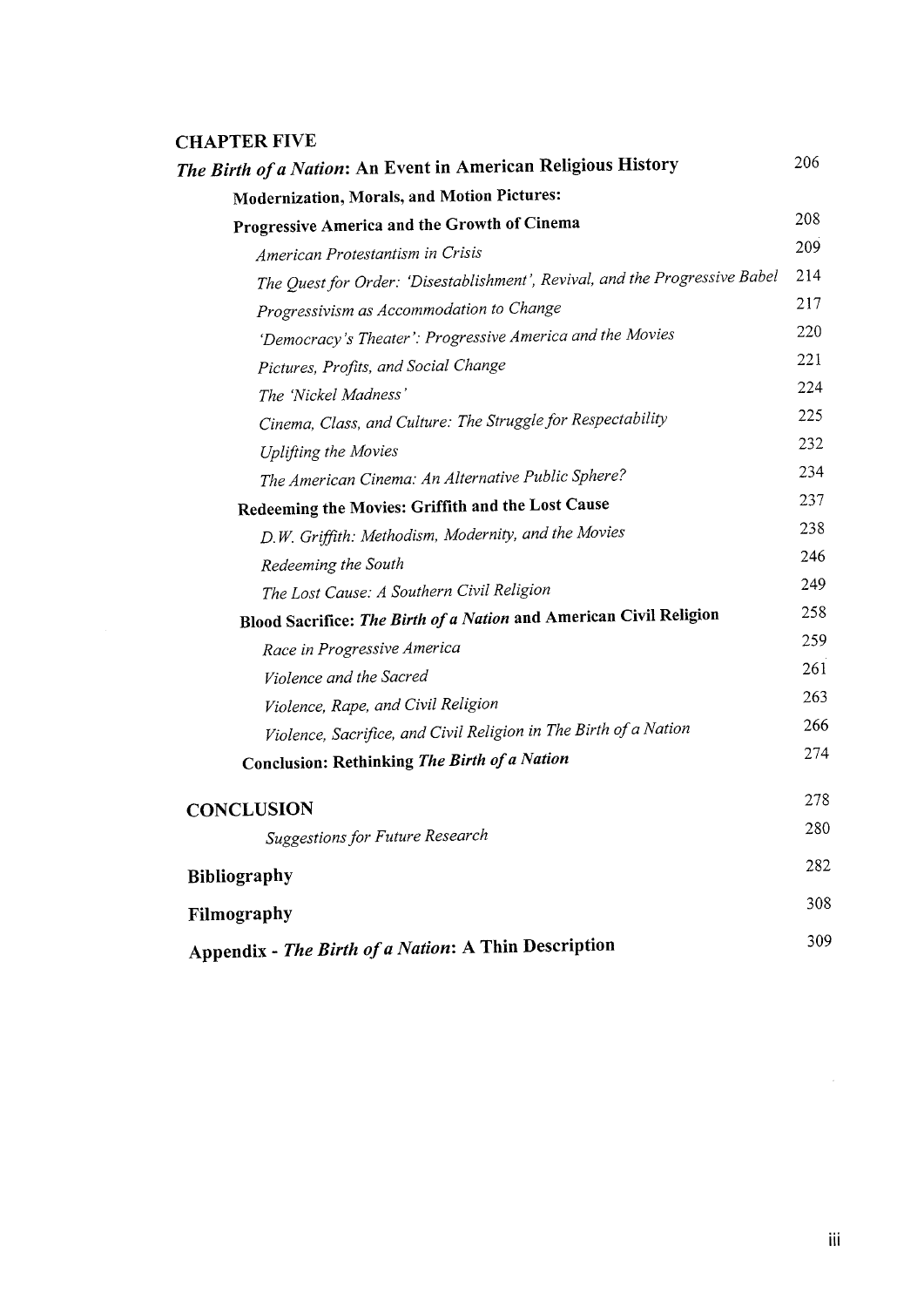### CHAPTER FIVE

| <i>The Birth of a Nation</i> : An Event in American Religious History       | 206 |
|-----------------------------------------------------------------------------|-----|
| <b>Modernization, Morals, and Motion Pictures:</b>                          |     |
| Progressive America and the Growth of Cinema                                | 208 |
| American Protestantism in Crisis                                            | 209 |
| The Quest for Order: 'Disestablishment', Revival, and the Progressive Babel | 214 |
| Progressivism as Accommodation to Change                                    | 217 |
| 'Democracy's Theater': Progressive America and the Movies                   | 220 |
| Pictures, Profits, and Social Change                                        | 221 |
| The 'Nickel Madness'                                                        | 224 |
| Cinema, Class, and Culture: The Struggle for Respectability                 | 225 |
| <b>Uplifting the Movies</b>                                                 | 232 |
| The American Cinema: An Alternative Public Sphere?                          | 234 |
| Redeeming the Movies: Griffith and the Lost Cause                           | 237 |
| D.W. Griffith: Methodism, Modernity, and the Movies                         | 238 |
| Redeeming the South                                                         | 246 |
| The Lost Cause: A Southern Civil Religion                                   | 249 |
| Blood Sacrifice: The Birth of a Nation and American Civil Religion          | 258 |
| Race in Progressive America                                                 | 259 |
| Violence and the Sacred                                                     | 261 |
| Violence, Rape, and Civil Religion                                          | 263 |
| Violence, Sacrifice, and Civil Religion in The Birth of a Nation            | 266 |
| Conclusion: Rethinking The Birth of a Nation                                | 274 |
| <b>CONCLUSION</b>                                                           | 278 |
| <b>Suggestions for Future Research</b>                                      | 280 |
| Bibliography                                                                | 282 |
| Filmography                                                                 | 308 |
| Appendix - The Birth of a Nation: A Thin Description                        | 309 |

 $\mathcal{A}^{\mathcal{A}}$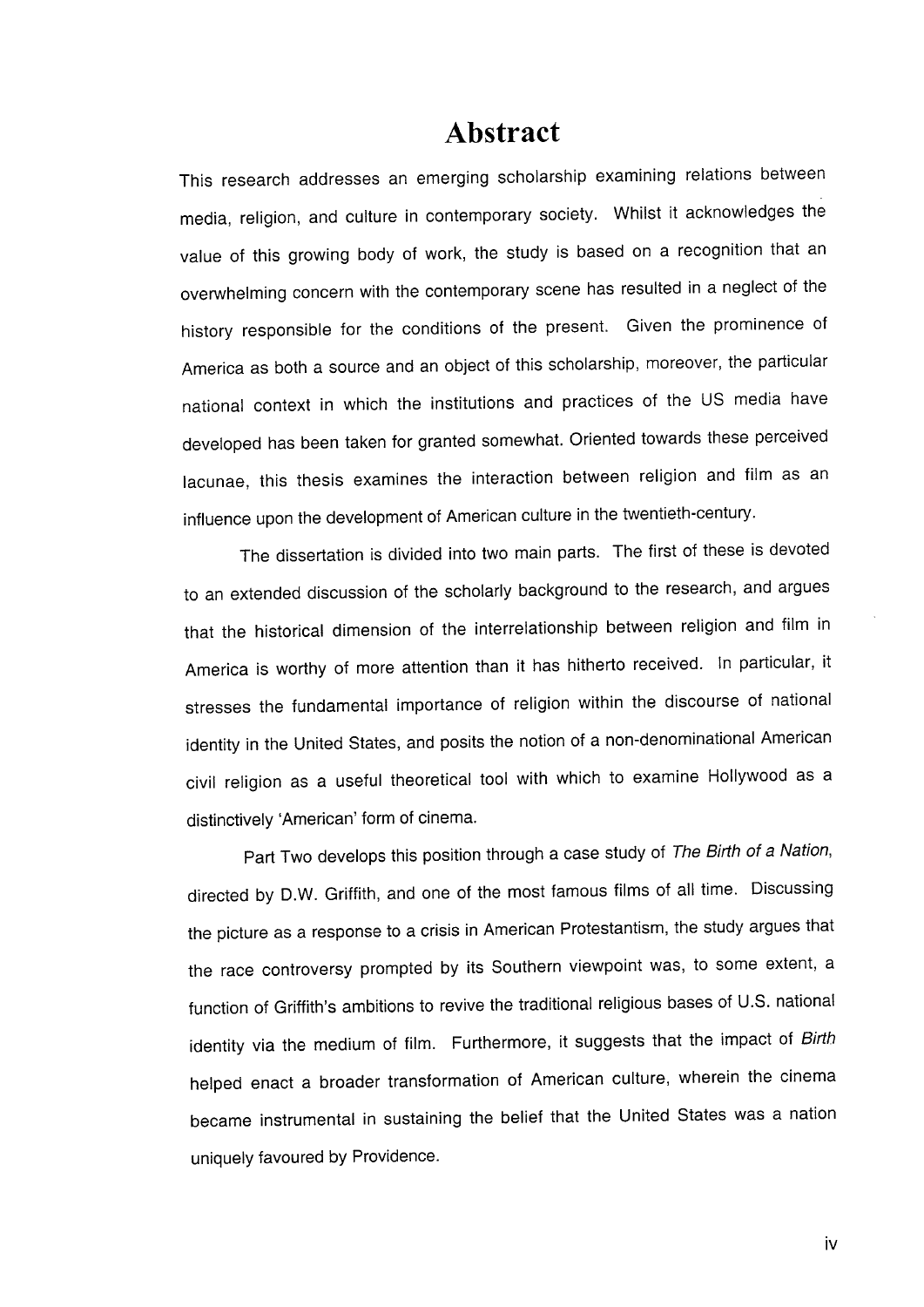## Abstract

This research addresses an emerging scholarship examining relations between media, religion, and culture in contemporary society. Whilst it acknowledges the value of this growing body of work, the study is based on a recognition that an overwhelming concern with the contemporary scene has resulted in a neglect of the history responsible for the conditions of the present. Given the prominence of America as both a source and an object of this scholarship, moreover, the particular national context in which the institutions and practices of the US media have developed has been taken for granted somewhat. Oriented towards these perceived lacunae, this thesis examines the interaction between religion and film as an influence upon the development of American culture in the twentieth-century.

The dissertation is divided into two main parts. The first of these is devoted to an extended discussion of the scholarly background to the research, and argues that the historical dimension of the interrelationship between religion and film in America is worthy of more attention than it has hitherto received. In particular, it stresses the fundamental importance of religion within the discourse of national identity in the United States, and posits the notion of a non-denominational American civil religion as a useful theoretical tool with which to examine Hollywood as a distinctively 'American' form of cinema.

Part Two develops this position through a case study of The Birth of a Nation, directed by D.W. Griffith, and one of the most famous films of all time. Discussing the picture as a response to a crisis in American Protestantism, the study argues that the race controversy prompted by its Southern viewpoint was, to some extent, a function of Griffith's ambitions to revive the traditional religious bases of U.S. national identity via the medium of film. Furthermore, it suggests that the impact of Birth helped enact a broader transformation of American culture, wherein the cinema became instrumental in sustaining the belief that the United States was a nation uniquely favoured by Providence.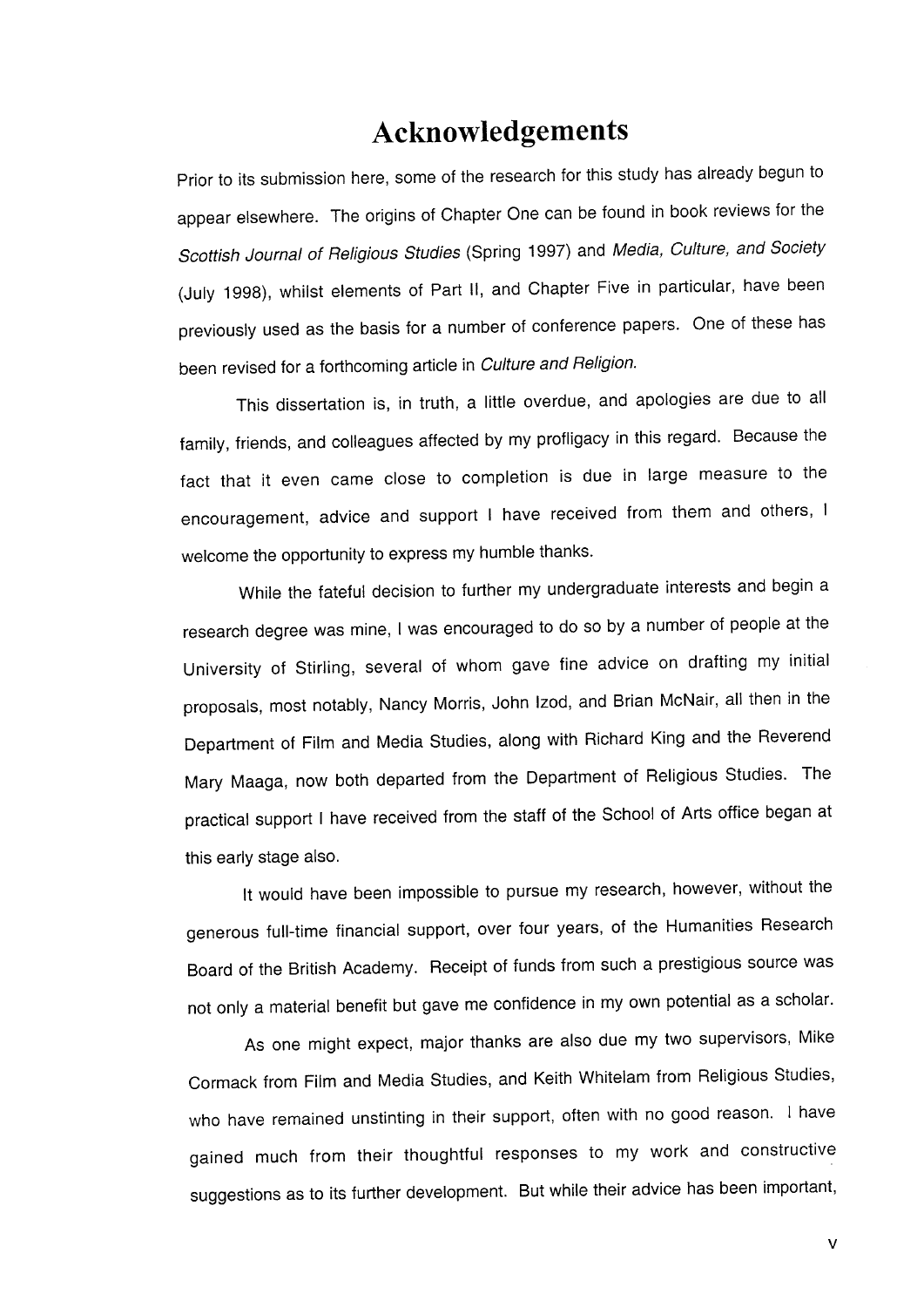# Acknowledgements

Prior to its submission here, some of the research for this study has already begun to appear elsewhere. The origins of Chapter One can be found in book reviews for the Scottish Journal of Religious Studies (Spring 1997) and Media, Culture, and Society (July 1998), whilst elements of Part ii, and Chapter Five in particular, have been previously used as the basis for a number of conference papers. One of these has been revised for a forthcoming article in Culture and Religion.

This dissertation is, in truth, a little overdue, and apologies are due to all family, friends, and colleagues affected by my profligacy in this regard. Because the fact that it even came close to completion is due in large measure to the encouragement, advice and support I have received from them and others, I welcome the opportunity to express my humble thanks.

While the fateful decision to further my undergraduate interests and begin a research degree was mine, i was encouraged to do so by a number of people at the University of Stirling, several of whom gave fine advice on drafting my initial proposals, most notably, Nancy Morris, John Izod, and Brian McNair, all then in the Department of Film and Media Studies, along with Richard King and the Reverend Mary Maaga, now both departed from the Department of Religious Studies. The practical support i have received from the staff of the School of Arts office began at this early stage also.

It would have been impossible to pursue my research, however, without the generous full-time financial support, over four years, of the Humanities Research Board of the British Academy. Receipt of funds from such a prestigious source was not only a material benefit but gave me confidence in my own potential as a scholar.

As one might expect, major thanks are also due my two supervisors, Mike Cormack from Film and Media Studies, and Keith Whitelam from Religious Studies, who have remained unstinting in their support, often with no good reason. I have gained much from their thoughtful responses to my work and constructive suggestions as to its further development. But while their advice has been important,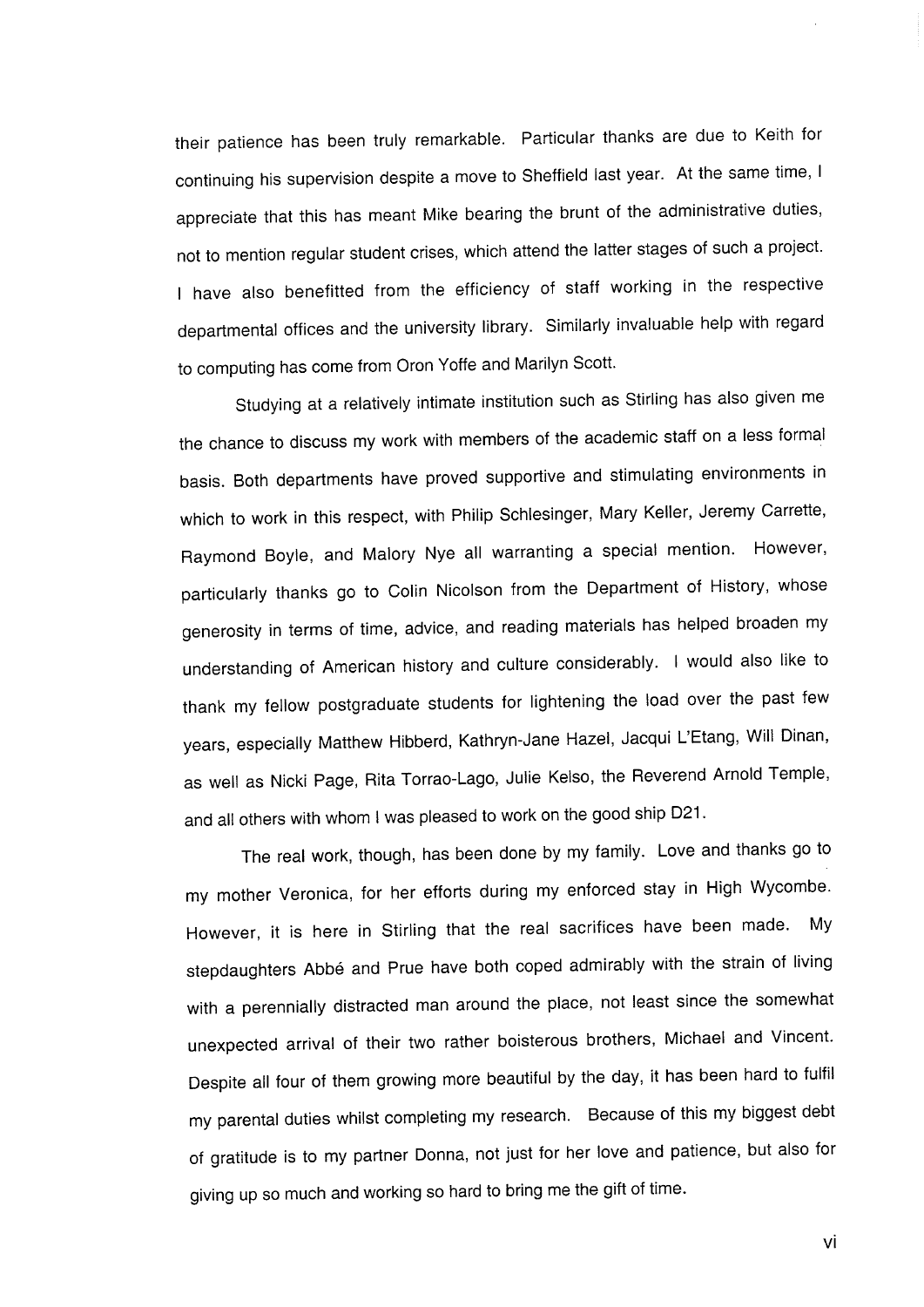their patience has been truly remarkable. Particular thanks are due to Keith for continuing his supervision despite a move to Sheffield last year. At the same time, I appreciate that this has meant Mike bearing the brunt of the administrative duties, not to mention regular student crises, which attend the latter stages of such a project. I have also benefitted from the efficiency of staff working in the respective departmental offices and the university library. Similarly invaluable help with regard to computing has come from Oron Yoffe and Marilyn Scott.

Studying at a relatively intimate institution such as Stirling has also given me the chance to discuss my work with members of the academic staff on a less formal basis. Both departments have proved supportive and stimulating environments in which to work in this respect, with Philip Schlesinger, Mary Keller, Jeremy Carrette, Raymond Boyle, and Malory Nye all warranting a special mention. However, particularly thanks go to Colin Nicolson from the Department of History, whose generosity in terms of time, advice, and reading materials has helped broaden my understanding of American history and culture considerably. I would also like to thank my fellow postgraduate students for lightening the load over the past few years, especially Matthew Hibberd, Kathryn-Jane Hazel, Jacqui L'Etang, Wil Dinan, as well as Nicki Page, Rita Torrao-Lago, Julie Kelso, the Reverend Arnold Temple, and all others with whom I was pleased to work on the good ship D21.

The real work, though, has been done by my family. Love and thanks go to my mother Veronica, for her efforts during my enforced stay in High Wycombe. However, it is here in Stirling that the real sacrifices have been made. My stepdaughters Abbé and Prue have both coped admirably with the strain of living with a perennially distracted man around the place, not least since the somewhat unexpected arrival of their two rather boisterous brothers, Michael and Vincent. Despite all four of them growing more beautiful by the day, it has been hard to fulfil my parental duties whilst completing my research. Because of this my biggest debt of gratitude is to my partner Donna, not just for her love and patience, but also for giving up so much and working so hard to bring me the gift of time.

vi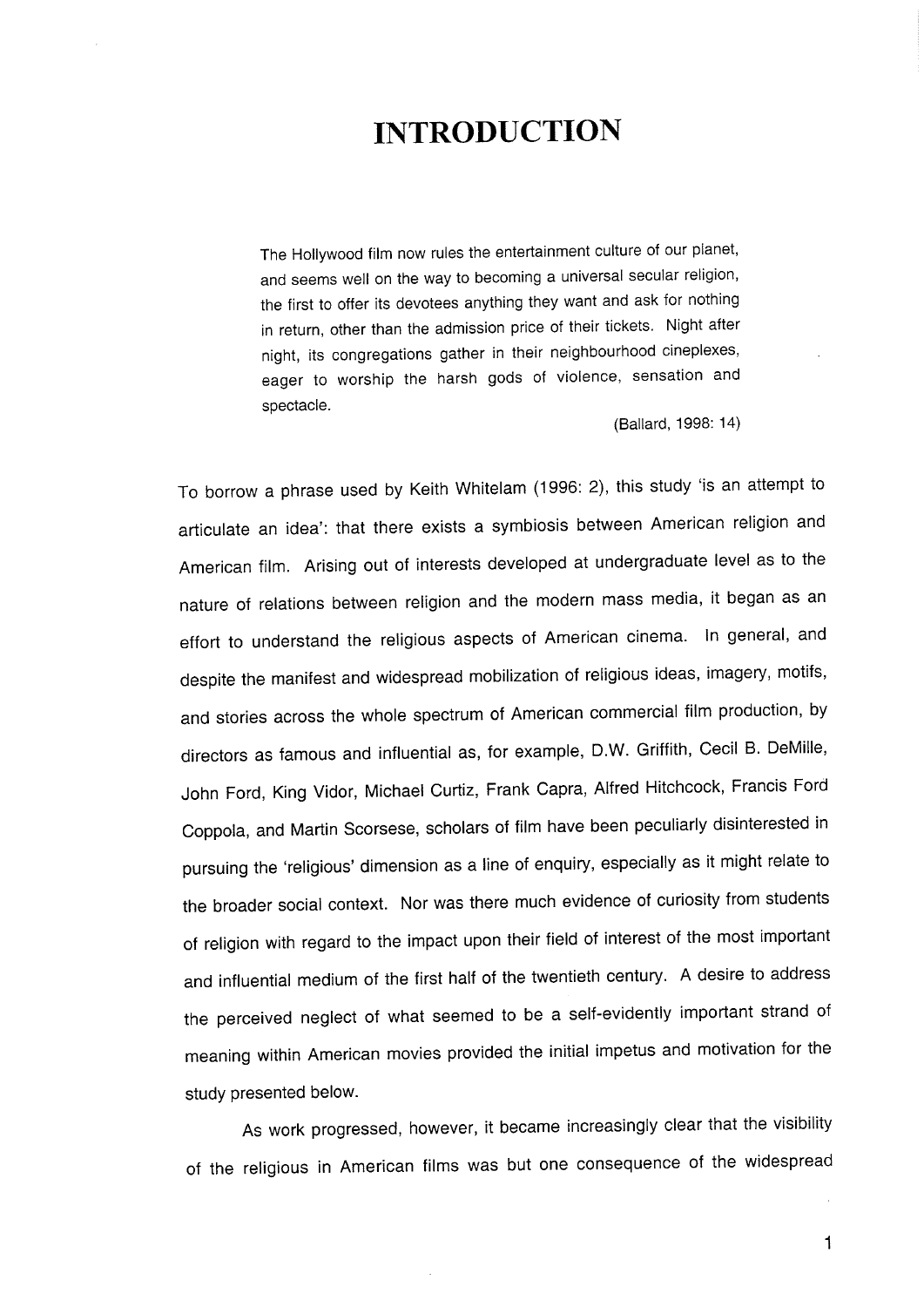# INTRODUCTION

The Hollywood film now rules the entertainment culture of our planet, and seems well on the way to becoming a universal secular religion, the first to offer its devotees anything they want and ask for nothing in return, other than the admission price of their tickets. Night after night, its congregations gather in their neighbourhood cinepiexes, eager to worship the harsh gods of violence, sensation and spectacle.

(Ballard, 1998: 14)

To borrow a phrase used by Keith Whitelam (1996: 2), this study 'is an attempt to articulate an idea': that there exists a symbiosis between American religion and American fim. Arising out of interests developed at undergraduate level as to the nature of relations between religion and the modern mass media, it began as an effort to understand the religious aspects of American cinema. In general, and despite the manifest and widespread mobilization of religious ideas, imagery, motifs, and stories across the whole spectrum of American commercial film production, by directors as famous and influential as, for example, D.W. Griffith, Cecil B. DeMille, John Ford, King Vidor, Michael Curtiz, Frank Capra, Alfred Hitchcock, Francis Ford Coppola, and Martin Scorsese, scholars of film have been peculiarly disinterested in pursuing the 'religious' dimension as a line of enquiry, especially as it might relate to the broader social context. Nor was there much evidence of curiosity from students of religion with regard to the impact upon their field of interest of the most important and influential medium of the first half of the twentieth century. A desire to address the perceived neglect of what seemed to be a self-evidently important strand of meaning within American movies provided the initial impetus and motivation for the study presented below.

As work progressed, however, it became increasingly clear that the visibility of the religious in American fims was but one consequence of the widespread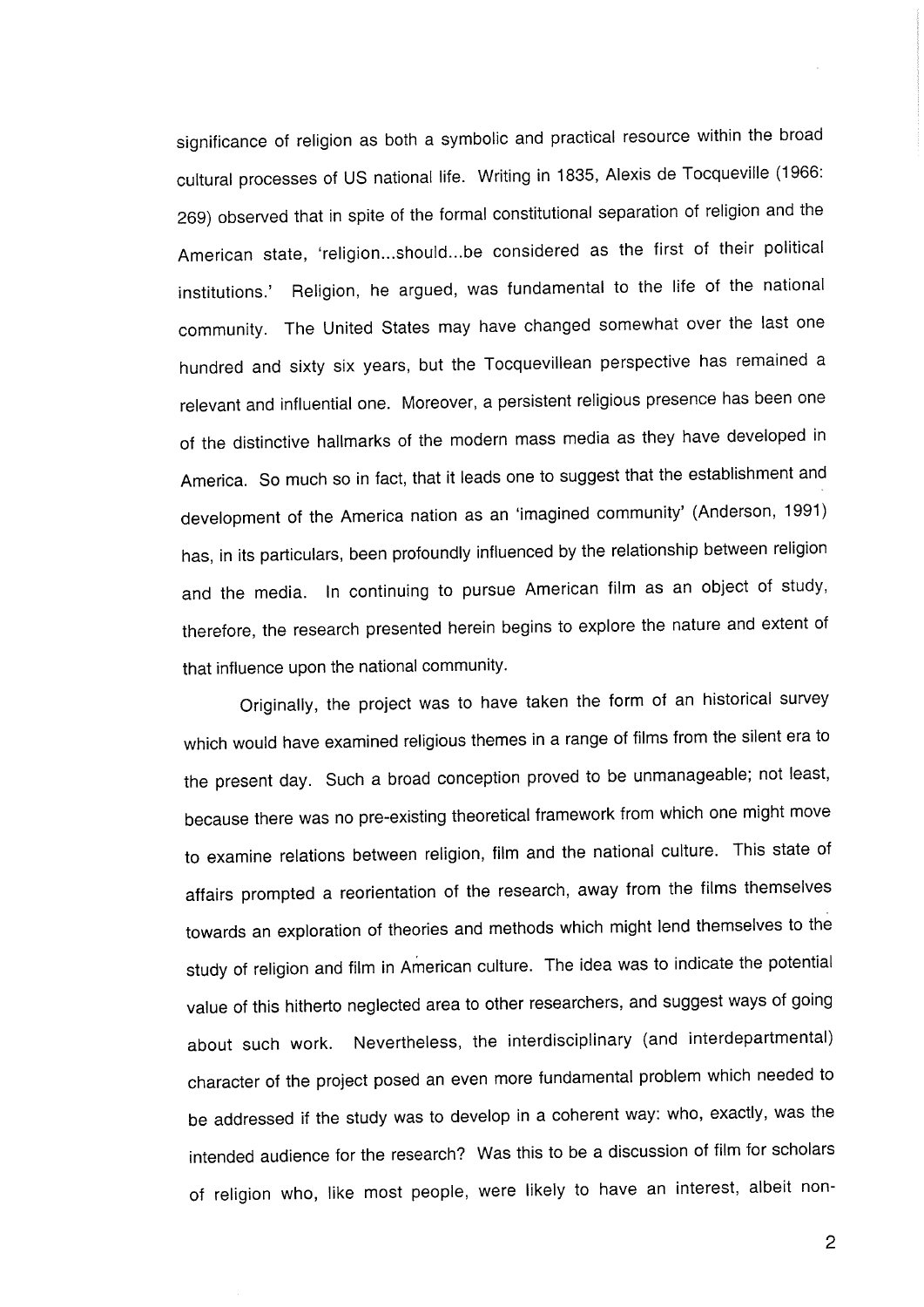significance of religion as both a symbolic and practical resource within the broad cultural processes of US national life. Writing in 1835, Alexis de Tocqueville (1966: 269) observed that in spite of the formal constitutional separation of religion and the American state, 'religion...should...be considered as the first of their political institutions.' Religion, he argued, was fundamental to the life of the national community. The United States may have changed somewhat over the last one hundred and sixty six years, but the Tocquevillean perspective has remained a relevant and influential one. Moreover, a persistent religious presence has been one of the distinctive hallmarks of the modern mass media as they have developed in America. So much so in fact, that it leads one to suggest that the establishment and development of the America nation as an 'imagined community' (Anderson, 1991) has, in its particulars, been profoundly influenced by the relationship between religion and the media. In continuing to pursue American film as an object of study, therefore, the research presented herein begins to explore the nature and extent of that influence upon the national community.

Originally, the project was to have taken the form of an historical survey which would have examined religious themes in a range of films from the silent era to the present day. Such a broad conception proved to be unmanageable; not least, because there was no pre-existing theoretical framework from which one might move to examine relations between religion, film and the national culture. This state of affairs prompted a reorientation of the research, away from the fims themselves towards an exploration of theories and methods which might lend themselves to the study of religion and film in American culture. The idea was to indicate the potential value of this hitherto neglected area to other researchers, and suggest ways of going about such work. Nevertheless, the interdisciplinary (and interdepartmental) character of the project posed an even more fundamental problem which needed to be addressed if the study was to develop in a coherent way: who, exactly, was the intended audience for the research? Was this to be a discussion of fim for scholars of religion who, like most people, were likely to have an interest, albeit non-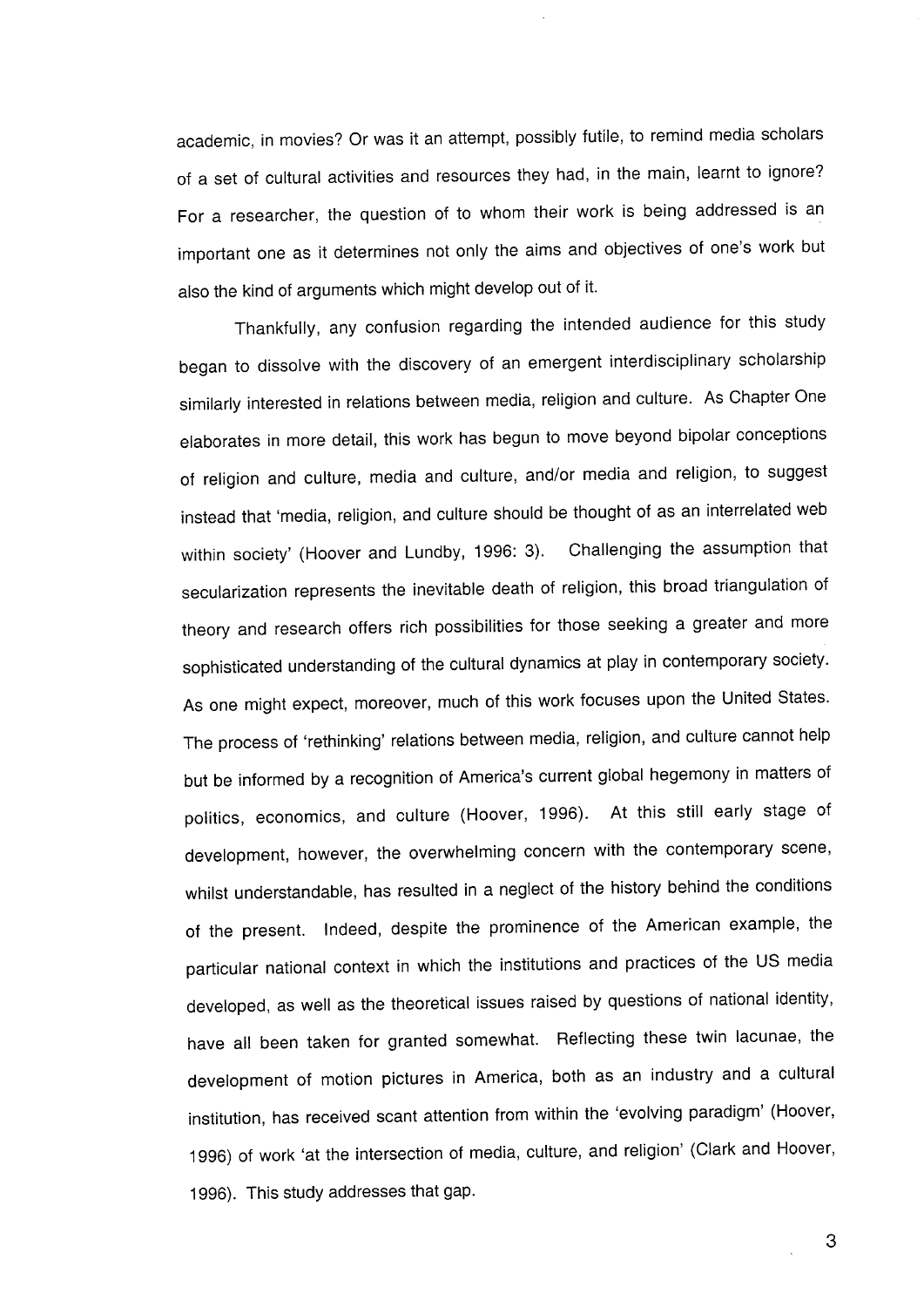academic, in movies? Or was it an attempt, possibly futile, to remind media scholars of a set of cultural activities and resources they had, in the main, learnt to ignore? For a researcher, the question of to whom their work is being addressed is an important one as it determines not only the aims and objectives of one's work but also the kind of arguments which might develop out of it.

Thankfully, any confusion regarding the intended audience for this study began to dissolve with the discovery of an emergent interdisciplinary scholarship similarly interested in relations between media, religion and culture. As Chapter One elaborates in more detail, this work has begun to move beyond bipolar conceptions of religion and culture, media and culture, and/or media and religion, to suggest instead that 'media, religion, and culture should be thought of as an interrelated web within society' (Hoover and Lundby, 1996: 3). Challenging the assumption that secularization represents the inevitable death of religion, this broad triangulation of theory and research offers rich possibilities for those seeking a greater and more sophisticated understanding of the cultural dynamics at play in contemporary society. As one might expect, moreover, much of this work focuses upon the United States. The process of 'rethinking' relations between media, religion, and culture cannot help but be informed by a recognition of America's current global hegemony in matters of politics, economics, and culture (Hoover, 1996). At this still early stage of development, however, the overwhelming concern with the contemporary scene, whilst understandable, has resulted in a neglect of the history behind the conditions of the present. Indeed, despite the prominence of the American example, the particular national context in which the institutions and practices of the US media developed, as well as the theoretical issues raised by questions of national identity, have all been taken for granted somewhat. Reflecting these twin lacunae, the development of motion pictures in America, both as an industry and a cultural institution, has received scant attention from within the 'evolving paradigm' (Hoover, 1996) of work 'at the intersection of media, culture, and religion' (Clark and Hoover, 1996). This study addresses that gap.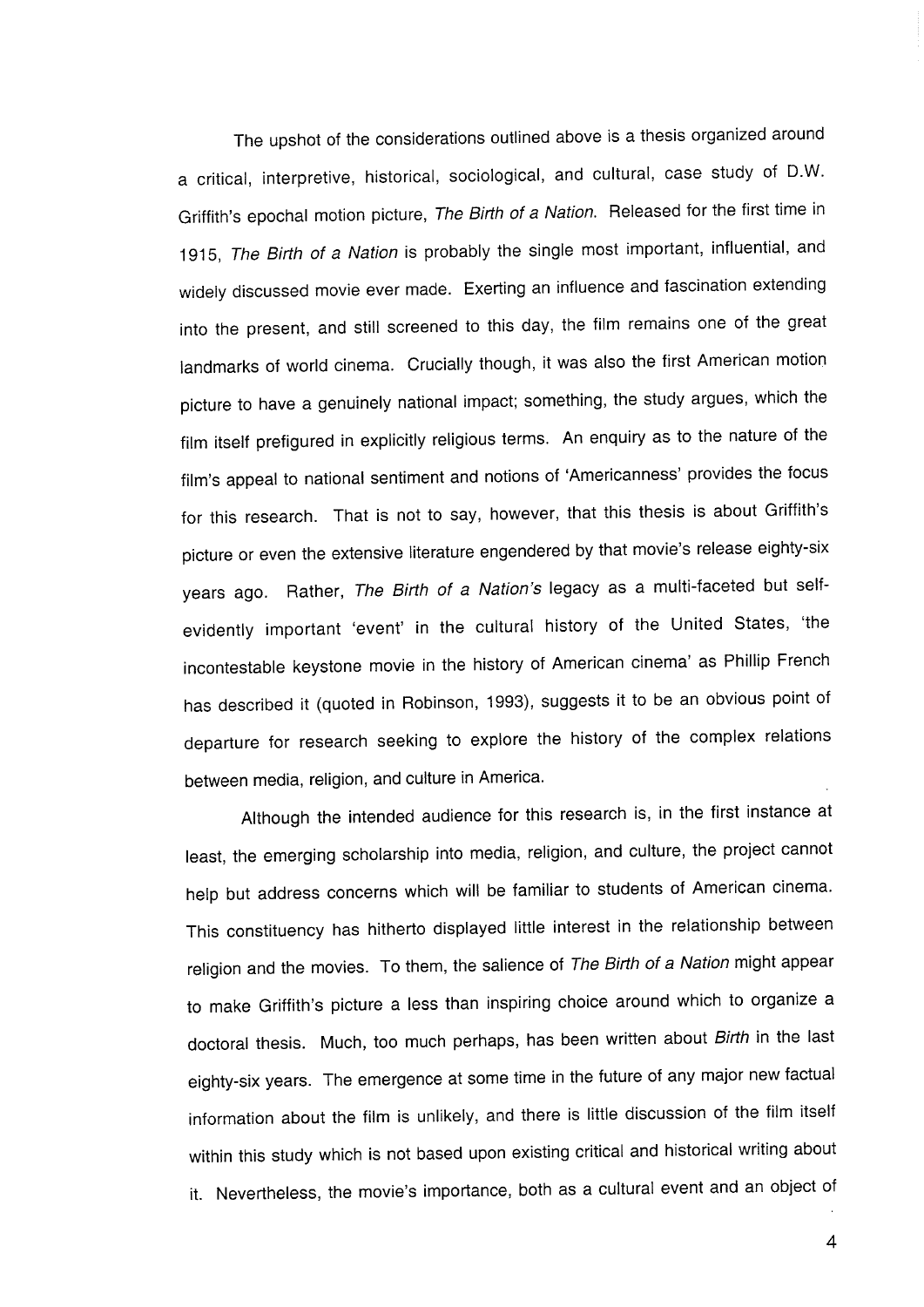The upshot of the considerations outlined above is a thesis organized around a critical, interpretive, historical, sociological, and cultural, case study of D.W. Griffith's epochal motion picture, The Birth of a Nation. Released for the first time in 1915, The Birth of a Nation is probably the single most important, influential, and widely discussed movie ever made. Exerting an influence and fascination extending into the present, and still screened to this day, the film remains one of the great landmarks of world cinema. Crucially though, it was also the first American motion picture to have a genuinely national impact; something, the study argues, which the film itself prefigured in explicitly religious terms. An enquiry as to the nature of the film's appeal to national sentiment and notions of 'Americanness' provides the focus for this research. That is not to say, however, that this thesis is about Griffith's picture or even the extensive literature engendered by that movie's release eighty-six years ago. Rather, The Birth of a Nation's legacy as a multi-faceted but selfevidently important 'event' in the cultural history of the United States, 'the incontestable keystone movie in the history of American cinema' as Phillip French has described it (quoted in Robinson, 1993), suggests it to be an obvious point of departure for research seeking to explore the history of the complex relations between media, religion, and culture in America.

Although the intended audience for this research is, in the first instance at least, the emerging scholarship into media, religion, and culture, the project cannot help but address concerns which will be familiar to students of American cinema. This constituency has hitherto displayed little interest in the relationship between religion and the movies. To them, the salience of The Birth of a Nation might appear to make Griffth's picture a less than inspiring choice around which to organize a doctoral thesis. Much, too much perhaps, has been written about Birth in the last eighty-six years. The emergence at some time in the future of any major new factual information about the film is unlikely, and there is little discussion of the film itself within this study which is not based upon existing critical and historical writing about it. Nevertheless, the movie's importance, both as a cultural event and an object of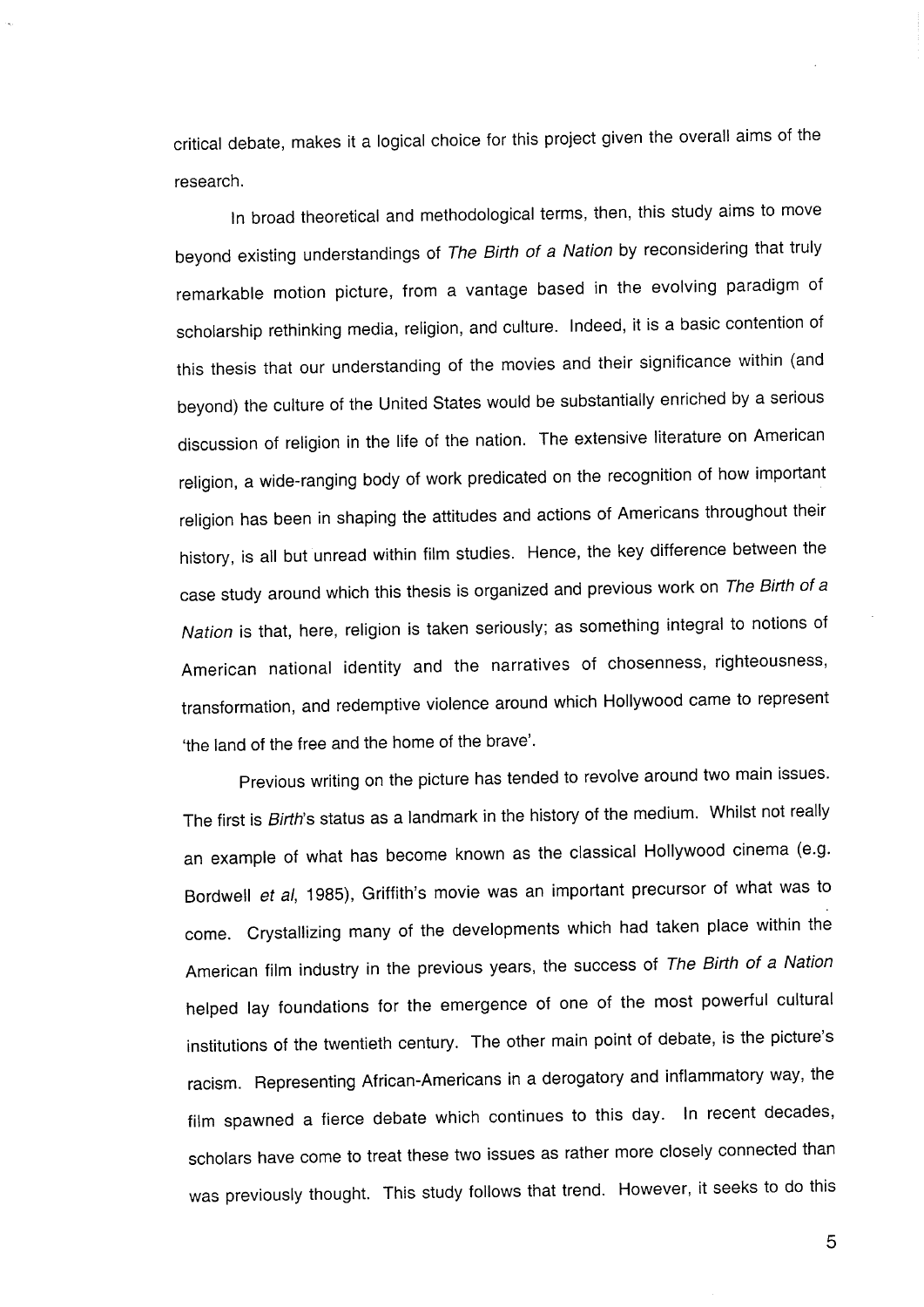critical debate, makes it a logical choice for this project given the overall aims of the research.

In broad theoretical and methodological terms, then, this study aims to move beyond existing understandings of The Birth of a Nation by reconsidering that truly remarkable motion picture, from a vantage based in the evolving paradigm of scholarship rethinking media, religion, and culture. Indeed, it is a basic contention of this thesis that our understanding of the movies and their significance within (and beyond) the culture of the United States would be substantially enriched by a serious discussion of religion in the life of the nation. The extensive literature on American religion, a wide-ranging body of work predicated on the recognition of how important religion has been in shaping the attitudes and actions of Americans throughout their history, is all but unread within film studies. Hence, the key difference between the case study around which this thesis is organized and previous work on The Birth of a Nation is that, here, religion is taken seriously; as something integral to notions of American national identity and the narratives of chosenness, righteousness, transformation, and redemptive violence around which Hollywood came to represent 'the land of the free and the home of the brave'.

Previous writing on the picture has tended to revolve around two main issues. The first is Birth's status as a landmark in the history of the medium. Whilst not really an example of what has become known as the classical Hollywood cinema (e.g. Bordwell et al, 1985), Griffith's movie was an important precursor of what was to come. Crystallizing many of the developments which had taken place within the American film industry in the previous years, the success of The Birth of a Nation helped lay foundations for the emergence of one of the most powerful cultural institutions of the twentieth century. The other main point of debate, is the picture's racism. Representing African-Americans in a derogatory and inflammatory way, the film spawned a fierce debate which continues to this day. In recent decades, scholars have come to treat these two issues as rather more closely connected than was previously thought. This study follows that trend. However, it seeks to do this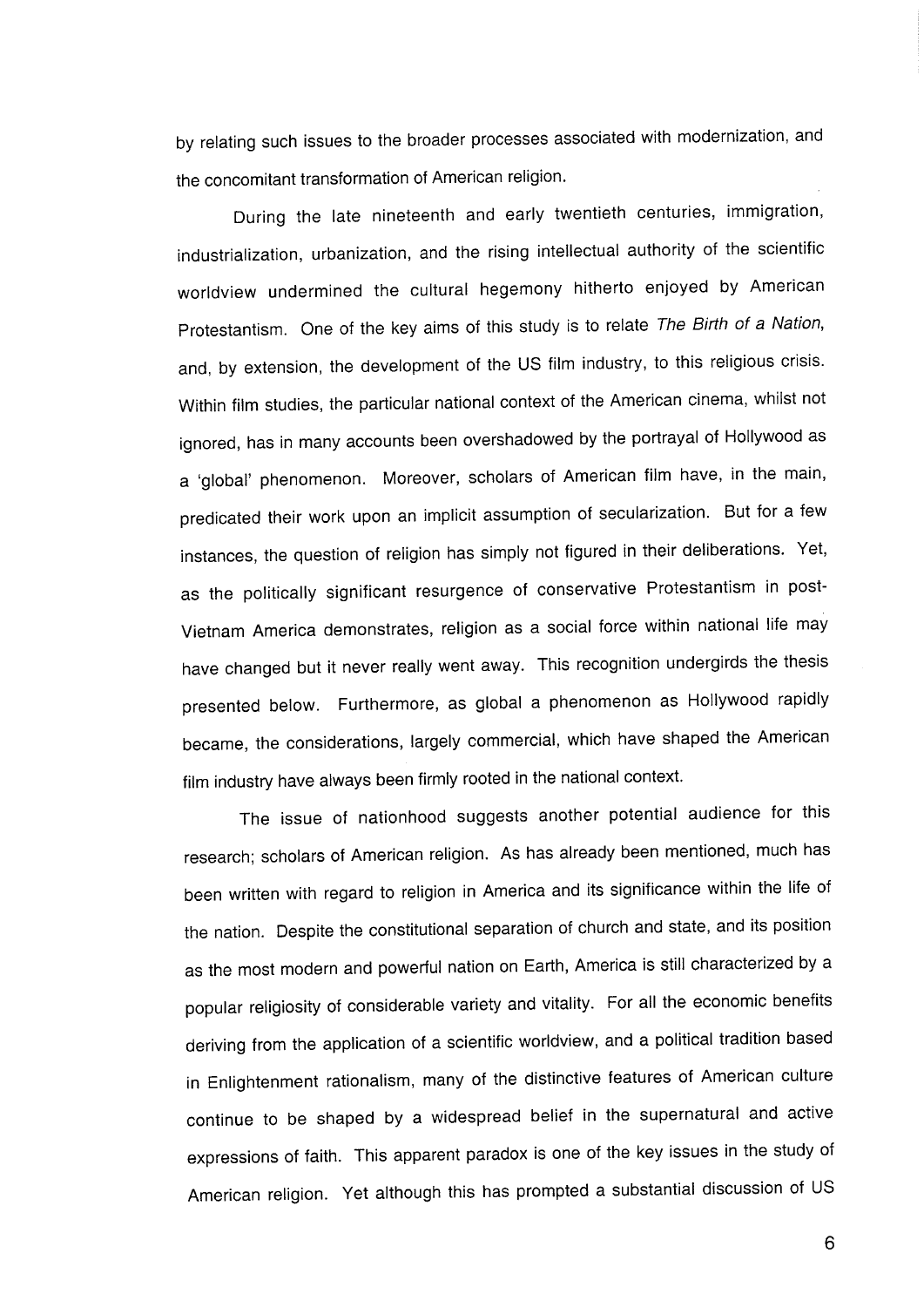by relating such issues to the broader processes associated with modernization, and the concomitant transformation of American religion.

During the late nineteenth and early twentieth centuries, immigration, industrialization, urbanization, and the rising intellectual authority of the scientific worldview undermined the cultural hegemony hitherto enjoyed by American Protestantism. One of the key aims of this study is to relate The Birth of a Nation, and, by extension, the development of the US film industry, to this religious crisis. Within film studies, the particular national context of the American cinema, whilst not ignored, has in many accounts been overshadowed by the portrayal of Hollywood as a 'global' phenomenon. Moreover, scholars of American film have, in the main, predicated their work upon an implicit assumption of secularization. But for a few instances, the question of religion has simply not figured in their deliberations. Yet, as the politically significant resurgence of conservative Protestantism in post-Vietnam America demonstrates, religion as a social force within national life may have changed but it never really went away. This recognition undergirds the thesis presented below. Furthermore, as global a phenomenon as Hollywood rapidly became, the considerations, largely commercial, which have shaped the American film industry have always been firmly rooted in the national context.

The issue of nationhood suggests another potential audience for this research; scholars of American religion. As has already been mentioned, much has been written with regard to religion in America and its significance within the life of the nation. Despite the constitutional separation of church and state, and its position as the most modern and powerful nation on Earth, America is still characterized by a popular religiosity of considerable variety and vitality. For all the economic benefits deriving from the application of a scientific worldview, and a political tradition based in Enlightenment rationalism, many of the distinctive features of American culture continue to be shaped by a widespread belief in the supernatural and active expressions of faith. This apparent paradox is one of the key issues in the study of American religion. Yet although this has prompted a substantial discussion of US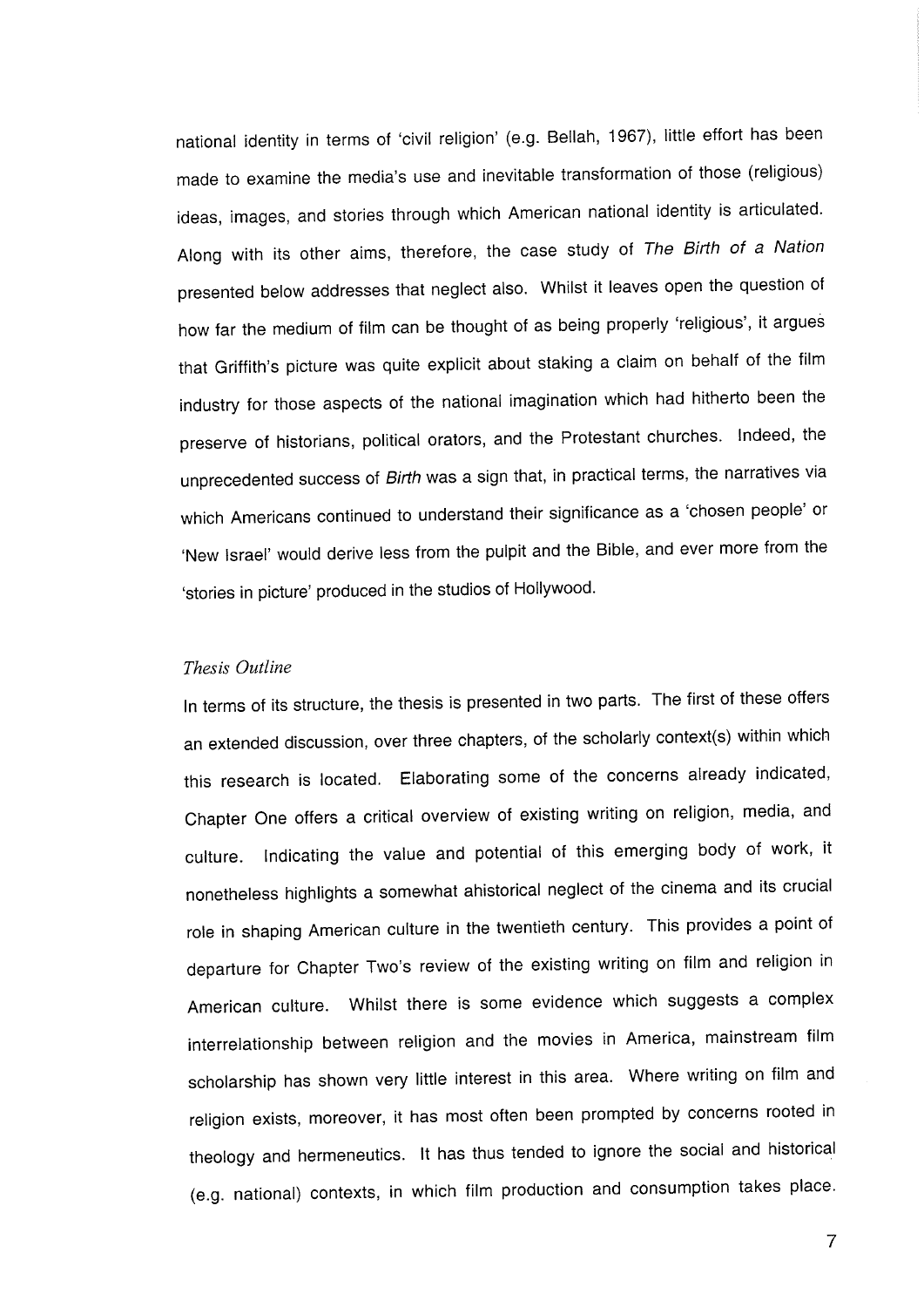national identity in terms of 'civil religion' (e.g. Bellah, 1967), little effort has been made to examine the media's use and inevitable transformation of those (religious) ideas, images, and stories through which American national identity is articulated. Along with its other aims, therefore, the case study of The Birth of a Nation presented below addresses that neglect also. Whilst it leaves open the question of how far the medium of film can be thought of as being properly 'religious', it argues that Griffith's picture was quite explicit about staking a claim on behalf of the film industry for those aspects of the national imagination which had hitherto been the preserve of historians, political orators, and the Protestant churches. Indeed, the unprecedented success of Birth was a sign that, in practical terms, the narratives via which Americans continued to understand their significance as a 'chosen people' or 'New Israel' would derive less from the pulpit and the Bible, and ever more from the 'stories in picture' produced in the studios of Hollywood.

#### Thesis Outline

In terms of its structure, the thesis is presented in two parts. The first of these offers an extended discussion, over three chapters, of the scholarly context(s) within which this research is located. Elaborating some of the concerns already indicated, Chapter One offers a critical overview of existing writing on religion, media, and culture. Indicating the value and potential of this emerging body of work, it nonetheless highlights a somewhat ahistorical neglect of the cinema and its crucial role in shaping American culture in the twentieth century. This provides a point of departure for Chapter Two's review of the existing writing on film and religion in American culture. Whilst there is some evidence which suggests a complex interrelationship between religion and the movies in America, mainstream film scholarship has shown very little interest in this area. Where writing on film and religion exists, moreover, it has most often been prompted by concerns rooted in theology and hermeneutics. It has thus tended to ignore the social and historical (e.g. national) contexts, in which film production and consumption takes place.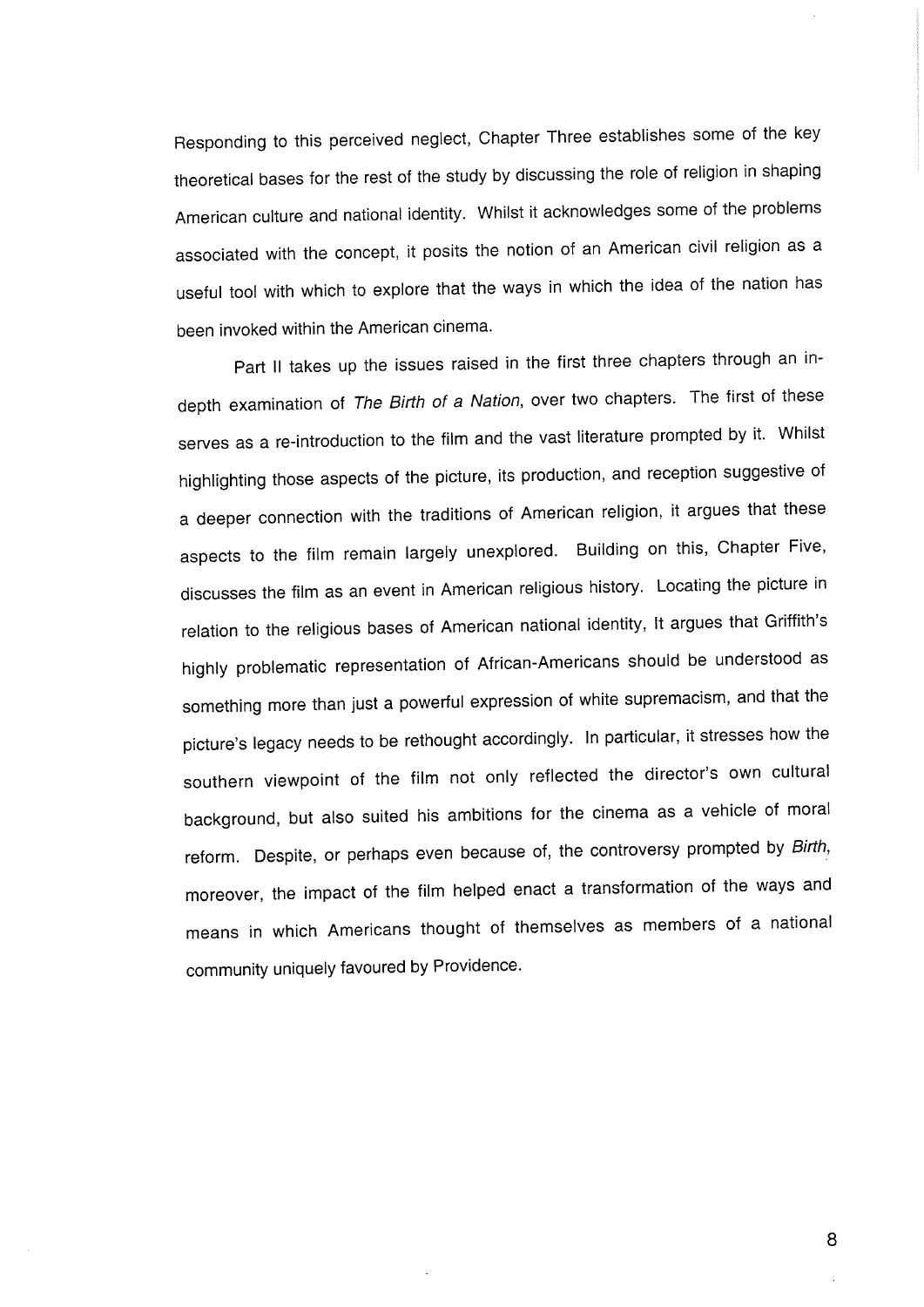Responding to this perceived neglect, Chapter Three establishes some of the key theoretical bases for the rest of the study by discussing the role of religion in shaping American culture and national identity. Whilst it acknowledges some of the problems associated with the concept, it posits the notion of an American civil religion as a useful tool with which to explore that the ways in which the idea of the nation has been invoked within the American cinema.

Part II takes up the issues raised in the first three chapters through an indepth examination of The Birth of a Nation, over two chapters. The first of these serves as a re-introduction to the film and the vast literature prompted by it. Whilst highlighting those aspects of the picture, its production, and reception suggestive of a deeper connection with the traditions of American religion, it argues that these aspects to the film remain largely unexplored. Building on this, Chapter Five, discusses the film as an event in American religious history. Locating the picture in relation to the religious bases of American national identity, It argues that Griffith's highly problematic representation of African-Americans should be understood as something more than just a powerful expression of white supremacism, and that the picture's legacy needs to be rethought accordingly. In particular, it stresses how the southern viewpoint of the film not only reflected the director's own cultural background, but also suited his ambitions for the cinema as a vehicle of moral reform. Despite, or perhaps even because of, the controversy prompted by Birth, moreover, the impact of the fim helped enact a transformation of the ways and means in which Americans thought of themselves as members of a national community uniquely favoured by Providence.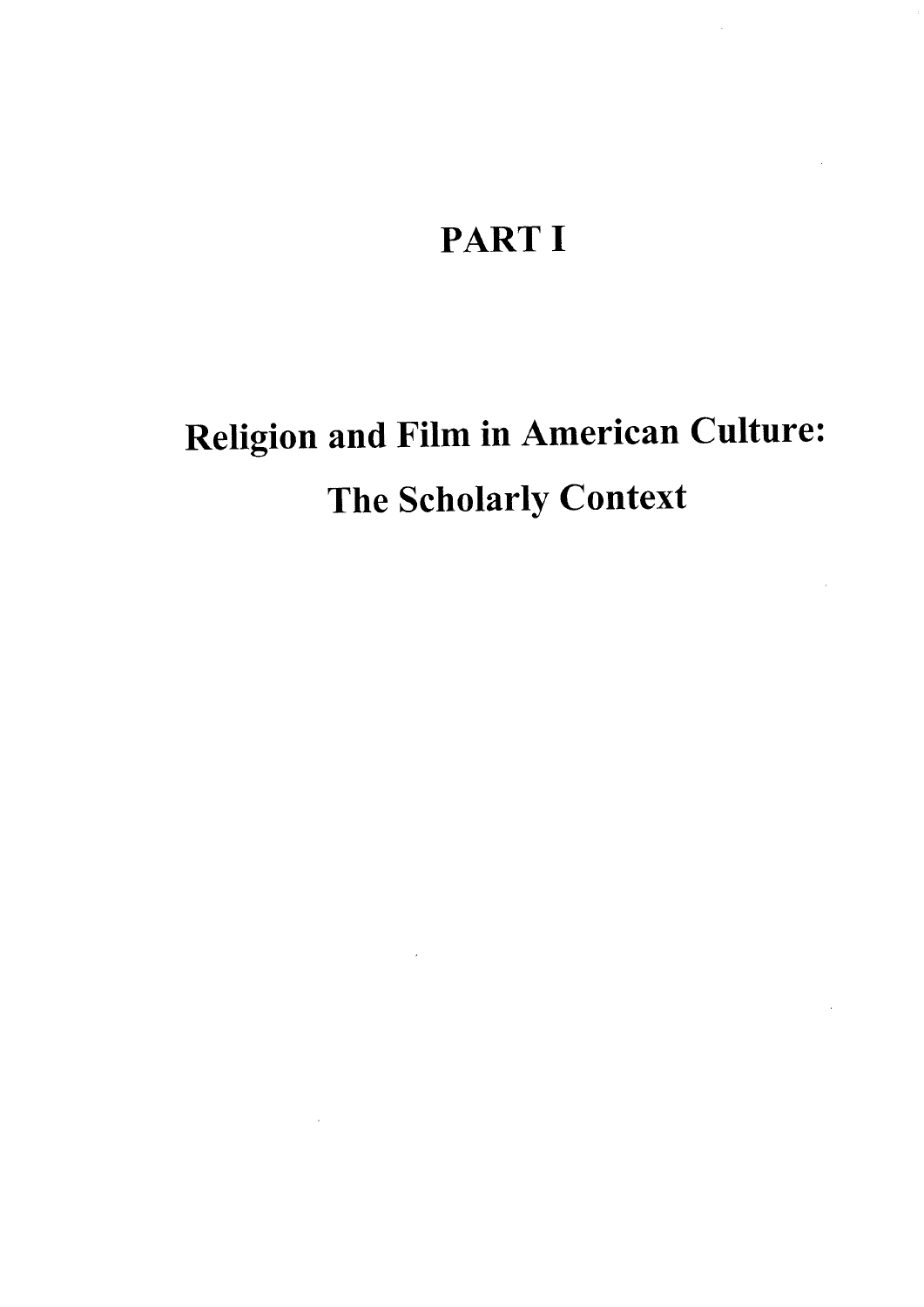# PART I

# Religion and Film in American Culture: The Scholarly Context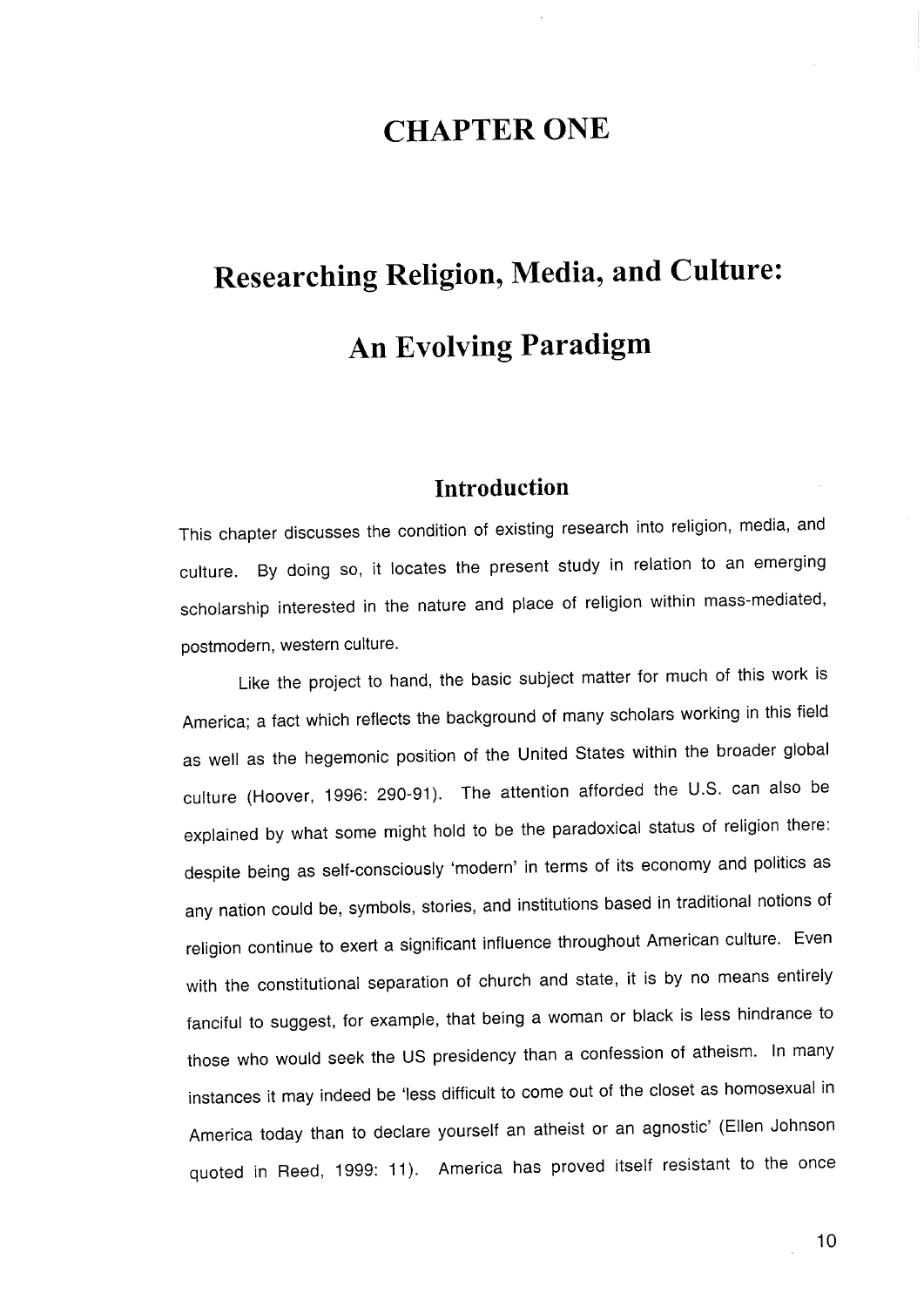## CHAPTER ONE

# Researching Religion, Media, and Culture: An Evolving Paradigm

## Introduction

This chapter discusses the condition of existing research into religion, media, and culture. By doing so, it locates the present study in relation to an emerging scholarship interested in the nature and place of religion within mass-mediated, postmodern, western culture.

Like the project to hand, the basic subject matter for much of this work is America; a fact which reflects the background of many scholars working in this field as well as the hegemonic position of the United States within the broader global culture (Hoover, 1996: 290-91). The attention afforded the U.S. can also be explained by what some might hold to be the paradoxical status of religion there: despite being as self-consciously 'modern' in terms of its economy and politics as any nation could be, symbols, stories, and institutions based in traditional notions of religion continue to exert a significant influence throughout American culture. Even with the constitutional separation of church and state, it is by no means entirely fanciful to suggest, for example, that being a woman or black is less hindrance to those who would seek the US presidency than a confession of atheism. In many instances it may indeed be 'less difficult to come out of the closet as homosexual in America today than to declare yourself an atheist or an agnostic' (Ellen Johnson quoted in Reed, 1999: 11). America has proved itself resistant to the once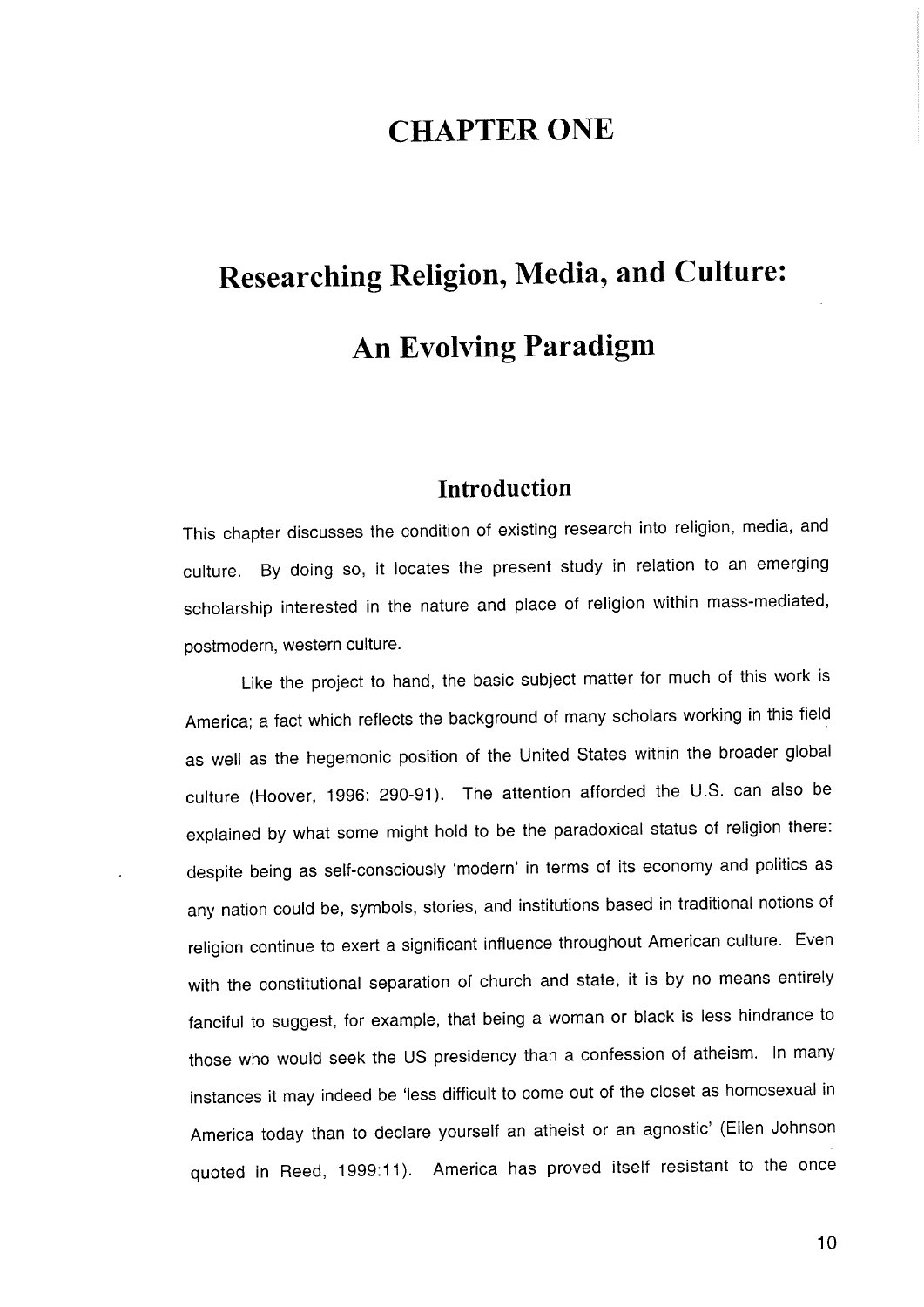## CHAPTER ONE

# Researching Religion, Media, and Culture: An Evolving Paradigm

## Introduction

This chapter discusses the condition of existing research into religion, media, and culture. By doing so, it locates the present study in relation to an emerging scholarship interested in the nature and place of religion within mass-mediated, postmodern, western culture.

Like the project to hand, the basic subject matter for much of this work is America; a fact which reflects the background of many scholars working in this field as well as the hegemonic position of the United States within the broader global culture (Hoover, 1996: 290-91). The attention afforded the U.S. can also be explained by what some might hold to be the paradoxical status of religion there: despite being as self-consciously 'modern' in terms of its economy and politics as any nation could be, symbols, stories, and institutions based in traditional notions of religion continue to exert a significant influence throughout American culture. Even with the constitutional separation of church and state, it is by no means entirely fanciful to suggest, for example, that being a woman or black is less hindrance to those who would seek the US presidency than a confession of atheism. In many instances it may indeed be 'less difficult to come out of the closet as homosexual in America today than to declare yourself an atheist or an agnostic' (Ellen Johnson quoted in Reed, 1999:11). America has proved itself resistant to the once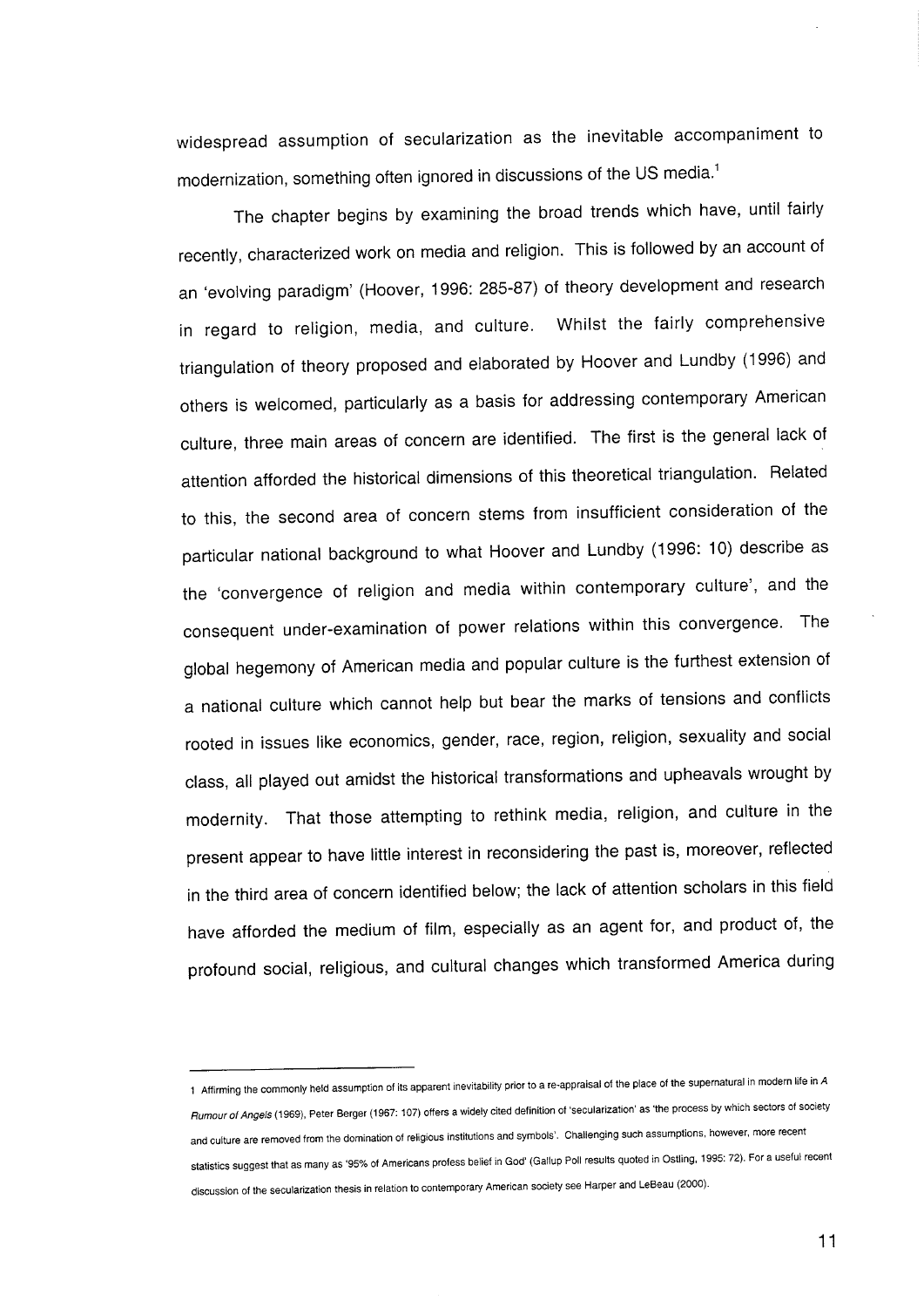widespread assumption of secularization as the inevitable accompaniment to modernization, something often ignored in discussions of the US media.<sup>1</sup>

The chapter begins by examining the broad trends which have, until fairly recently, characterized work on media and religion. This is followed by an account of an 'evolving paradigm' (Hoover, 1996: 285-87) of theory development and research in regard to religion, media, and culture. Whilst the fairly comprehensive triangulation of theory proposed and elaborated by Hoover and Lundby (1996) and others is welcomed, particularly as a basis for addressing contemporary American culture, three main areas of concern are identified. The first is the general lack of attention afforded the historical dimensions of this theoretical triangulation. Related to this, the second area of concern stems from insufficient consideration of the particular national background to what Hoover and Lundby (1996: 10) describe as the 'convergence of religion and media within contemporary culture', and the consequent under-examination of power relations within this convergence. The global hegemony of American media and popular culture is the furthest extension of a national culture which cannot help but bear the marks of tensions and conflicts rooted in issues like economics, gender, race, region, religion, sexuality and social class, all played out amidst the historical transformations and upheavals wrought by modernity. That those attempting to rethink media, religion, and culture in the present appear to have little interest in reconsidering the past is, moreover, reflected in the third area of concern identified below; the lack of attention scholars in this field have afforded the medium of film, especially as an agent for, and product of, the profound social, religious, and cultural changes which transformed America during

<sup>1</sup> Affirming the commonly held assumption of its apparent inevitability prior to a re-appraisal of the place of the supernatural in modern life in A Rumour of Angels (1969), Peter Berger (1967: 107) offers a widely cited definition of 'secularization' as 'the process by which sectors of society and culture are removed from the domination of religious institutions and symbols'. Challenging such assumptions, however, more recent statistics suggest that as many as '95% of Americans profess belief in God' (Gallup Poll results quoted in Ostling, 1995: 72). For a useful recent discussion of the secularization thesis in relation to contemporary American society see Harper and LeBeau (2000).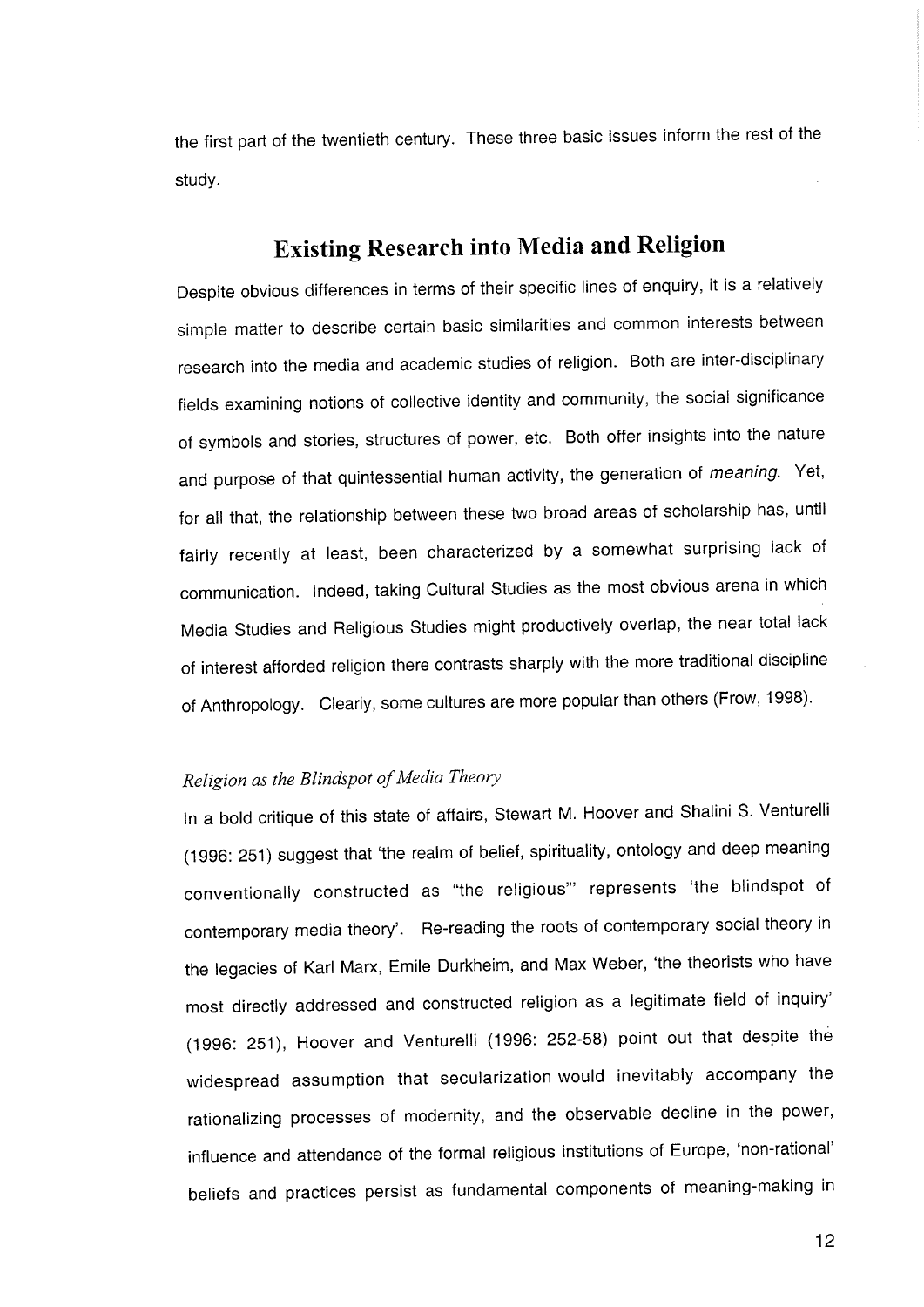the first part of the twentieth century. These three basic issues inform the rest of the study.

## Existing Research into Media and Religion

Despite obvious differences in terms of their specific lines of enquiry, it is a relatively simple matter to describe certain basic similarities and common interests between research into the media and academic studies of religion. Both are inter-disciplinary fields examining notions of collective identity and community, the social significance of symbols and stories, structures of power, etc. Both offer insights into the nature and purpose of that quintessential human activity, the generation of *meaning*. Yet, for all that, the relationship between these two broad areas of scholarship has, until fairly recently at least, been characterized by a somewhat surprising lack of communication. Indeed, taking Cultural Studies as the most obvious arena in which Media Studies and Religious Studies might productively overlap, the near total lack of interest afforded religion there contrasts sharply with the more traditional discipline of Anthropology. Clearly, some cultures are more popular than others (Frow, 1998).

### Religion as the Blindspot of Media Theory

In a bold critique of this state of affairs, Stewart M. Hoover and Shalini S. Venturelli (1996: 251) suggest that 'the realm of belief, spirituality, ontology and deep meaning conventionally constructed as "the religious'" represents 'the blindspot of contemporary media theory'. Re-reading the roots of contemporary social theory in the legacies of Karl Marx, Emile Durkheim, and Max Weber, 'the theorists who have most directly addressed and constructed religion as a legitimate field of inquiry' (1996: 251), Hoover and Venturelli (1996: 252-58) point out that despite the widespread assumption that secularization would inevitably accompany the rationalizing processes of modernity, and the observable decline in the power, influence and attendance of the formal religious institutions of Europe, 'non-rational' beliefs and practices persist as fundamental components of meaning-making in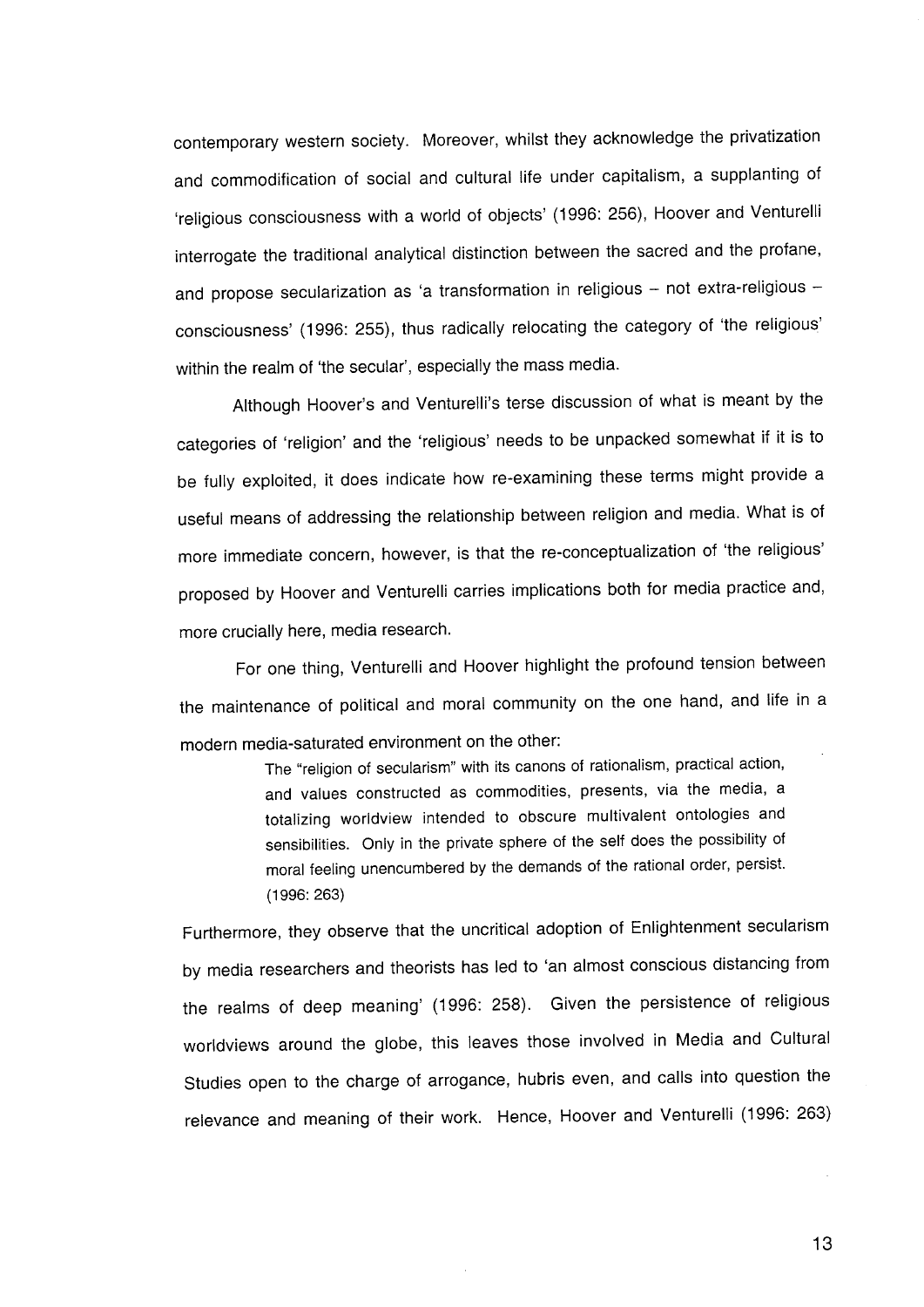contemporary western society. Moreover, whilst they acknowledge the privatization and commodification of social and cultural life under capitalism, a supplanting of 'religious consciousness with a world of objects' (1996: 256), Hoover and Venturelli interrogate the traditional analytical distinction between the sacred and the profane, and propose secularization as 'a transformation in religious - not extra-religious  $$ consciousness' (1996: 255), thus radically relocating the category of 'the religious' within the realm of 'the secular', especially the mass media.

Although Hoover's and Venturelli's terse discussion of what is meant by the categories of 'religion' and the 'religious' needs to be unpacked somewhat if it is to be fully exploited, it does indicate how re-examining these terms might provide a useful means of addressing the relationship between religion and media. What is of more immediate concern, however, is that the re-conceptualization of 'the religious' proposed by Hoover and Venturelli carries implications both for media practice and, more crucially here, media research.

For one thing, Venturelli and Hoover highlight the profound tension between the maintenance of political and moral community on the one hand, and life in a modern media-saturated environment on the other:

> The "religion of secularism" with its canons of rationalism, practical action, and values constructed as commodities, presents, via the media, a totalizing worldview intended to obscure multivalent ontologies and sensibilities. Only in the private sphere of the self does the possibility of moral feeling unencumbered by the demands of the rational order, persist. (1996: 263)

Furthermore, they observe that the uncritical adoption of Enlightenment secularism by media researchers and theorists has led to 'an almost conscious distancing from the realms of deep meaning' (1996: 258). Given the persistence of religious worldviews around the globe, this leaves those involved in Media and Cultural Studies open to the charge of arrogance, hubris even, and calls into question the relevance and meaning of their work. Hence, Hoover and Venturelli (1996: 263)